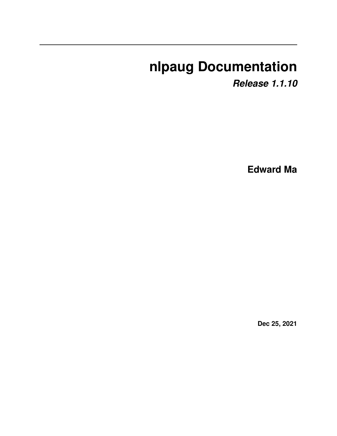# **nlpaug Documentation**

*Release 1.1.10*

**Edward Ma**

**Dec 25, 2021**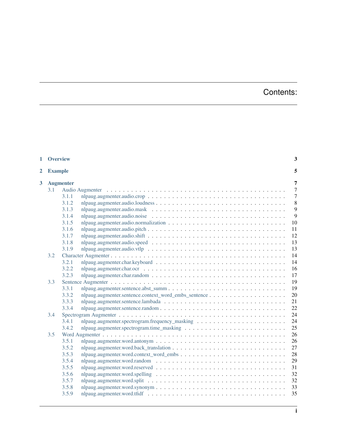# Contents:

| $\mathbf{1}$                     | <b>Overview</b> |                  |                                                                                                                    | 3              |
|----------------------------------|-----------------|------------------|--------------------------------------------------------------------------------------------------------------------|----------------|
| $\overline{2}$<br><b>Example</b> |                 |                  | 5                                                                                                                  |                |
| 3                                |                 | <b>Augmenter</b> |                                                                                                                    | 7              |
|                                  | 3.1             |                  |                                                                                                                    | $\overline{7}$ |
|                                  |                 | 3.1.1            |                                                                                                                    | $\overline{7}$ |
|                                  |                 | 3.1.2            |                                                                                                                    | 8              |
|                                  |                 | 3.1.3            |                                                                                                                    | 9              |
|                                  |                 | 3.1.4            | nlpaug.augmenter.audio.noise $\ldots \ldots \ldots \ldots \ldots \ldots \ldots \ldots \ldots \ldots \ldots \ldots$ | 9              |
|                                  |                 | 3.1.5            |                                                                                                                    | 10             |
|                                  |                 | 3.1.6            |                                                                                                                    | 11             |
|                                  |                 | 3.1.7            |                                                                                                                    | 12             |
|                                  |                 | 3.1.8            |                                                                                                                    | 13             |
|                                  |                 | 3.1.9            |                                                                                                                    | 13             |
|                                  | 3.2             |                  |                                                                                                                    | 14             |
|                                  |                 | 3.2.1            |                                                                                                                    | 14             |
|                                  |                 | 3.2.2            |                                                                                                                    | 16             |
|                                  |                 | 3.2.3            |                                                                                                                    | 17             |
|                                  | 3.3             |                  |                                                                                                                    | 19             |
|                                  |                 | 3.3.1            |                                                                                                                    | 19             |
|                                  |                 | 3.3.2            |                                                                                                                    | 20             |
|                                  |                 | 3.3.3            |                                                                                                                    | 21             |
|                                  |                 | 3.3.4            |                                                                                                                    | 22             |
|                                  | 3.4             |                  |                                                                                                                    | 24             |
|                                  |                 | 3.4.1            |                                                                                                                    | 24             |
|                                  |                 | 3.4.2            |                                                                                                                    | 25             |
|                                  | 3.5             |                  |                                                                                                                    | 26             |
|                                  |                 | 3.5.1            |                                                                                                                    | 26             |
|                                  |                 | 3.5.2            |                                                                                                                    | 27             |
|                                  |                 | 3.5.3            |                                                                                                                    | 28             |
|                                  |                 | 3.5.4            |                                                                                                                    | 29             |
|                                  |                 | 3.5.5            |                                                                                                                    | 31             |
|                                  |                 | 3.5.6            | nlpaug.augmenter.word.spelling $\ldots \ldots \ldots \ldots \ldots \ldots \ldots \ldots \ldots \ldots \ldots$      | 32             |
|                                  |                 | 3.5.7            |                                                                                                                    | 32             |
|                                  |                 | 3.5.8            |                                                                                                                    | 33             |
|                                  |                 | 3.5.9            |                                                                                                                    | 35             |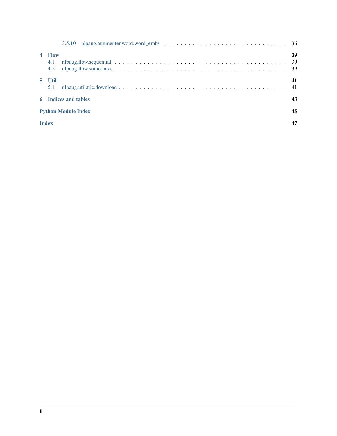| $\overline{a}$ | <b>Flow</b><br>4.1<br>4.2 |                            | 39<br>39<br>-39 |
|----------------|---------------------------|----------------------------|-----------------|
|                | 5 Util<br>5.1             |                            | 41<br>41        |
|                |                           | 6 Indices and tables       | 43              |
|                |                           | <b>Python Module Index</b> | 45              |
|                | <b>Index</b>              |                            |                 |
|                |                           |                            |                 |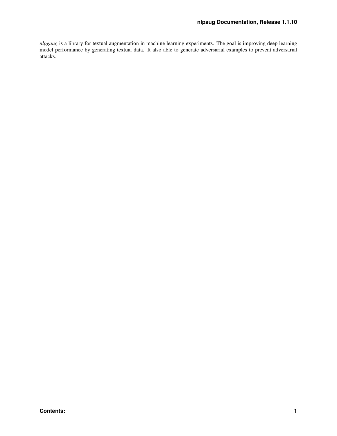*nlpgaug* is a library for textual augmentation in machine learning experiments. The goal is improving deep learning model performance by generating textual data. It also able to generate adversarial examples to prevent adversarial attacks.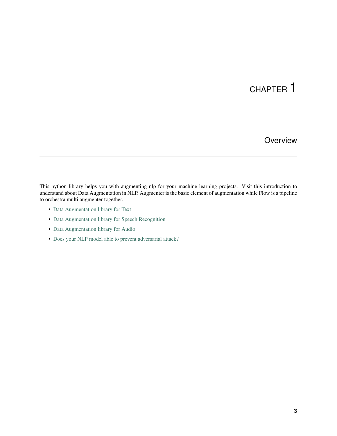**Overview** 

<span id="page-6-0"></span>This python library helps you with augmenting nlp for your machine learning projects. Visit this introduction to understand about Data Augmentation in NLP. Augmenter is the basic element of augmentation while Flow is a pipeline to orchestra multi augmenter together.

- [Data Augmentation library for Text](https://towardsdatascience.com/data-augmentation-library-for-text-9661736b13ff)
- [Data Augmentation library for Speech Recognition](https://towardsdatascience.com/data-augmentation-for-speech-recognition-e7c607482e78)
- [Data Augmentation library for Audio](https://towardsdatascience.com/data-augmentation-for-audio-76912b01fdf6)
- [Does your NLP model able to prevent adversarial attack?](https://medium.com/hackernoon/does-your-nlp-model-able-to-prevent-adversarial-attack-45b5ab75129c)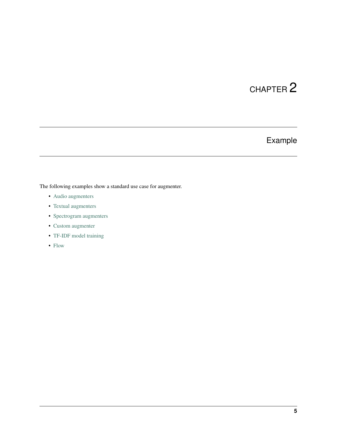# Example

<span id="page-8-0"></span>The following examples show a standard use case for augmenter.

- [Audio augmenters](https://github.com/makcedward/nlpaug/blob/master/example/audio_augmenter.ipynb)
- [Textual augmenters](https://github.com/makcedward/nlpaug/blob/master/example/textual_augmenter.ipynb)
- [Spectrogram augmenters](https://github.com/makcedward/nlpaug/blob/master/example/spectrogram_augmenter.ipynb)
- [Custom augmenter](https://github.com/makcedward/nlpaug/blob/master/example/custom_augmenter.ipynb)
- [TF-IDF model training](https://github.com/makcedward/nlpaug/blob/master/example/tfidf-train_model.ipynb)
- [Flow](https://github.com/makcedward/nlpaug/blob/master/example/flow.ipynb)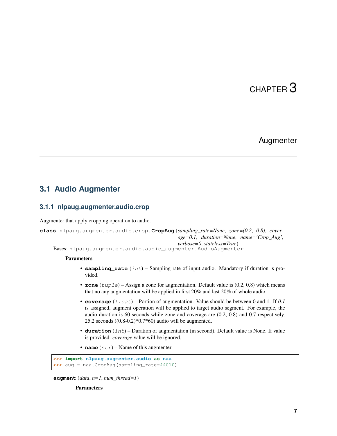# Augmenter

## <span id="page-10-3"></span><span id="page-10-1"></span><span id="page-10-0"></span>**3.1 Audio Augmenter**

### <span id="page-10-2"></span>**3.1.1 nlpaug.augmenter.audio.crop**

Augmenter that apply cropping operation to audio.

```
class nlpaug.augmenter.audio.crop.CropAug(sampling_rate=None, zone=(0.2, 0.8), cover-
                                                 age=0.1, duration=None, name='Crop_Aug',
                                                 verbose=0, stateless=True)
    Bases: nlpaug.augmenter.audio.audio_augmenter.AudioAugmenter
```
### Parameters

- **sampling\_rate** (int) Sampling rate of input audio. Mandatory if duration is provided.
- **zone** (*tuple*) Assign a zone for augmentation. Default value is (0.2, 0.8) which means that no any augmentation will be applied in first 20% and last 20% of whole audio.
- **coverage** (float) Portion of augmentation. Value should be between 0 and 1. If *0.1* is assigned, augment operation will be applied to target audio segment. For example, the audio duration is 60 seconds while zone and coverage are (0.2, 0.8) and 0.7 respectively. 25.2 seconds  $((0.8-0.2)*0.7*60)$  audio will be augmented.
- **duration** (int) Duration of augmentation (in second). Default value is None. If value is provided. *coverage* value will be ignored.
- **name**  $(str)$  Name of this augmenter

```
>>> import nlpaug.augmenter.audio as naa
>>> aug = naa.CropAug(sampling_rate=44010)
```

```
augment(data, n=1, num_thread=1)
```
Parameters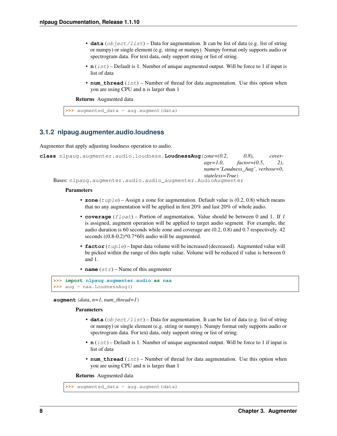- <span id="page-11-1"></span>• **data** (object/list) – Data for augmentation. It can be list of data (e.g. list of string or numpy) or single element (e.g. string or numpy). Numpy format only supports audio or spectrogram data. For text data, only support string or list of string.
- **n** (int) Default is 1. Number of unique augmented output. Will be force to 1 if input is list of data
- **num** thread  $(int)$  Number of thread for data augmentation. Use this option when you are using CPU and n is larger than 1

Returns Augmented data

```
>>> augmented_data = aug.augment(data)
```
### <span id="page-11-0"></span>**3.1.2 nlpaug.augmenter.audio.loudness**

Augmenter that apply adjusting loudness operation to audio.

```
class nlpaug.augmenter.audio.loudness.LoudnessAug(zone=(0.2, 0.8), cover-
                                                      age=1.0, factor=(0.5, 2),
                                                      name='Loudness_Aug', verbose=0,
                                                      stateless=True)
    Bases: nlpaug.augmenter.audio.audio_augmenter.AudioAugmenter
```
#### Parameters

- **zone** (*tuple*) Assign a zone for augmentation. Default value is (0.2, 0.8) which means that no any augmentation will be applied in first 20% and last 20% of whole audio.
- **coverage** (float) Portion of augmentation. Value should be between 0 and 1. If *1* is assigned, augment operation will be applied to target audio segment. For example, the audio duration is 60 seconds while zone and coverage are (0.2, 0.8) and 0.7 respectively. 42 seconds ((0.8-0.2)\*0.7\*60) audio will be augmented.
- **factor** (*tuple*) Input data volume will be increased (decreased). Augmented value will be picked within the range of this tuple value. Volume will be reduced if value is between 0 and 1.
- **name**  $(str)$  Name of this augmenter

```
>>> import nlpaug.augmenter.audio as naa
>>> aug = naa.LoudnessAug()
```
 $augment$ ( $data$ ,  $n=1$ ,  $num\_thread=1$ )

### Parameters

- **data** (object/list) Data for augmentation. It can be list of data (e.g. list of string or numpy) or single element (e.g. string or numpy). Numpy format only supports audio or spectrogram data. For text data, only support string or list of string.
- **n** (int) Default is 1. Number of unique augmented output. Will be force to 1 if input is list of data
- **num\_thread** (int) Number of thread for data augmentation. Use this option when you are using CPU and n is larger than 1

```
>>> augmented_data = aug.augment(data)
```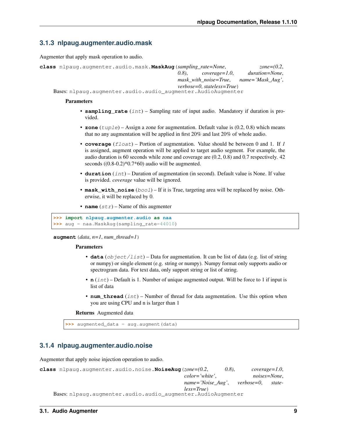## <span id="page-12-2"></span><span id="page-12-0"></span>**3.1.3 nlpaug.augmenter.audio.mask**

Augmenter that apply mask operation to audio.

| class nlpaug.augmenter.audio.mask. <b>MaskAug</b> (sampling rate=None. |           |                                 | zone= $(0.2,$    |
|------------------------------------------------------------------------|-----------|---------------------------------|------------------|
|                                                                        | $(0.8)$ . | coverage=1.0,                   | duration=None,   |
|                                                                        |           | mask with noise=True,           | name='Mask Aug', |
|                                                                        |           | $verbose = 0$ , stateless=True) |                  |
| Bases: nlpaug.augmenter.audio.audio_augmenter.AudioAugmenter           |           |                                 |                  |

### **Parameters**

- **sampling\_rate** (int) Sampling rate of input audio. Mandatory if duration is provided.
- **zone** (*tuple*) Assign a zone for augmentation. Default value is (0.2, 0.8) which means that no any augmentation will be applied in first 20% and last 20% of whole audio.
- **coverage** (float) Portion of augmentation. Value should be between 0 and 1. If *1* is assigned, augment operation will be applied to target audio segment. For example, the audio duration is 60 seconds while zone and coverage are (0.2, 0.8) and 0.7 respectively. 42 seconds ((0.8-0.2)\*0.7\*60) audio will be augmented.
- **duration** (int) Duration of augmentation (in second). Default value is None. If value is provided. *coverage* value will be ignored.
- **mask\_with\_noise** ( $boo1$ ) If it is True, targeting area will be replaced by noise. Otherwise, it will be replaced by 0.
- **name**  $(str)$  Name of this augmenter

```
>>> import nlpaug.augmenter.audio as naa
>>> aug = naa.MaskAug(sampling_rate=44010)
```
**augment**  $(data, n=1, num<sub>thread=1</sub>)$ 

#### Parameters

- **data** (object/list) Data for augmentation. It can be list of data (e.g. list of string or numpy) or single element (e.g. string or numpy). Numpy format only supports audio or spectrogram data. For text data, only support string or list of string.
- **n** (*int*) Default is 1. Number of unique augmented output. Will be force to 1 if input is list of data
- **num** thread  $(int)$  Number of thread for data augmentation. Use this option when you are using CPU and n is larger than 1

Returns Augmented data

**>>>** augmented\_data = aug.augment(data)

## <span id="page-12-1"></span>**3.1.4 nlpaug.augmenter.audio.noise**

Augmenter that apply noise injection operation to audio.

```
class nlpaug.augmenter.audio.noise.NoiseAug(zone=(0.2, 0.8), coverage=1.0,
                                              color='white', noises=None,
                                              name='Noise_Aug', verbose=0, state-
                                              less=True)
    Bases: nlpaug.augmenter.audio.audio_augmenter.AudioAugmenter
```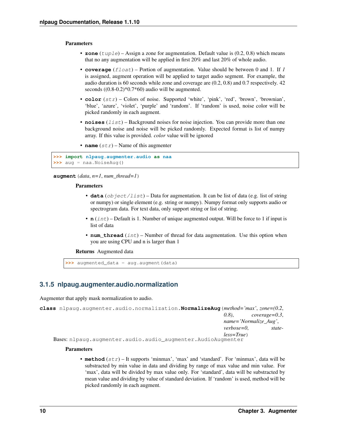### <span id="page-13-1"></span>**Parameters**

- **zone** (*tuple*) Assign a zone for augmentation. Default value is (0.2, 0.8) which means that no any augmentation will be applied in first 20% and last 20% of whole audio.
- **coverage** (float) Portion of augmentation. Value should be between 0 and 1. If *1* is assigned, augment operation will be applied to target audio segment. For example, the audio duration is 60 seconds while zone and coverage are (0.2, 0.8) and 0.7 respectively. 42 seconds  $((0.8-0.2)*0.7*60)$  audio will be augmented.
- **color**  $(str)$  Colors of noise. Supported 'white', 'pink', 'red', 'brown', 'brownian', 'blue', 'azure', 'violet', 'purple' and 'random'. If 'random' is used, noise color will be picked randomly in each augment.
- **noises** (*list*) Background noises for noise injection. You can provide more than one background noise and noise will be picked randomly. Expected format is list of numpy array. If this value is provided. *color* value will be ignored
- **name**  $(str)$  Name of this augmenter

```
>>> import nlpaug.augmenter.audio as naa
>>> aug = naa.NoiseAug()
```
**augment**(*data*, *n=1*, *num\_thread=1*)

#### **Parameters**

- **data** (*ob*  $ject / list$ ) Data for augmentation. It can be list of data (e.g. list of string or numpy) or single element (e.g. string or numpy). Numpy format only supports audio or spectrogram data. For text data, only support string or list of string.
- **n** (int) Default is 1. Number of unique augmented output. Will be force to 1 if input is list of data
- **num** thread  $(int)$  Number of thread for data augmentation. Use this option when you are using CPU and n is larger than 1

Returns Augmented data

**>>>** augmented\_data = aug.augment(data)

### <span id="page-13-0"></span>**3.1.5 nlpaug.augmenter.audio.normalization**

Augmenter that apply mask normalization to audio.

```
class nlpaug.augmenter.audio.normalization.NormalizeAug(method='max', zone=(0.2,
                                                             0.8), coverage=0.3,
                                                             name='Normalize_Aug',
                                                             verbose=0, state-
                                                             less=True)
    Bases: nlpaug.augmenter.audio.audio_augmenter.AudioAugmenter
```
#### Parameters

• **method** (str) – It supports 'minmax', 'max' and 'standard'. For 'minmax', data will be substracted by min value in data and dividing by range of max value and min value. For 'max', data will be divided by max value only. For 'standard', data will be substracted by mean value and dividing by value of standard deviation. If 'random' is used, method will be picked randomly in each augment.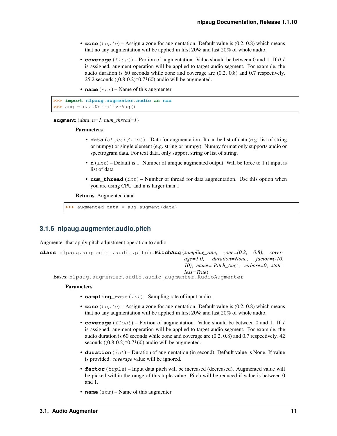- <span id="page-14-1"></span>• **zone** (*tuple*) – Assign a zone for augmentation. Default value is (0.2, 0.8) which means that no any augmentation will be applied in first 20% and last 20% of whole audio.
- **coverage** (float) Portion of augmentation. Value should be between 0 and 1. If *0.1* is assigned, augment operation will be applied to target audio segment. For example, the audio duration is 60 seconds while zone and coverage are (0.2, 0.8) and 0.7 respectively. 25.2 seconds  $((0.8-0.2)*0.7*60)$  audio will be augmented.
- **name**  $(str)$  Name of this augmenter

```
>>> import nlpaug.augmenter.audio as naa
>>> aug = naa.NormalizeAug()
```

```
augment (data, n=1, num\_thread=1)
```
### **Parameters**

- **data** (object/list) Data for augmentation. It can be list of data (e.g. list of string or numpy) or single element (e.g. string or numpy). Numpy format only supports audio or spectrogram data. For text data, only support string or list of string.
- **n** (int) Default is 1. Number of unique augmented output. Will be force to 1 if input is list of data
- **num\_thread** (int) Number of thread for data augmentation. Use this option when you are using CPU and n is larger than 1

Returns Augmented data

**>>>** augmented\_data = aug.augment(data)

### <span id="page-14-0"></span>**3.1.6 nlpaug.augmenter.audio.pitch**

Augmenter that apply pitch adjustment operation to audio.

```
class nlpaug.augmenter.audio.pitch.PitchAug(sampling_rate, zone=(0.2, 0.8), cover-
                                                     age=1.0, duration=None, factor=(-10,
                                                     10), name='Pitch_Aug', verbose=0, state-
                                                     less=True)
```
Bases: nlpaug.augmenter.audio.audio\_augmenter.AudioAugmenter

### Parameters

- **sampling\_rate** (int) Sampling rate of input audio.
- **zone** (tuple) Assign a zone for augmentation. Default value is (0.2, 0.8) which means that no any augmentation will be applied in first 20% and last 20% of whole audio.
- **coverage** (float) Portion of augmentation. Value should be between 0 and 1. If *1* is assigned, augment operation will be applied to target audio segment. For example, the audio duration is 60 seconds while zone and coverage are (0.2, 0.8) and 0.7 respectively. 42 seconds ((0.8-0.2)\*0.7\*60) audio will be augmented.
- **duration** (int) Duration of augmentation (in second). Default value is None. If value is provided. *coverage* value will be ignored.
- **factor** (tuple) Input data pitch will be increased (decreased). Augmented value will be picked within the range of this tuple value. Pitch will be reduced if value is between 0 and 1.
- **name**  $(str)$  Name of this augmenter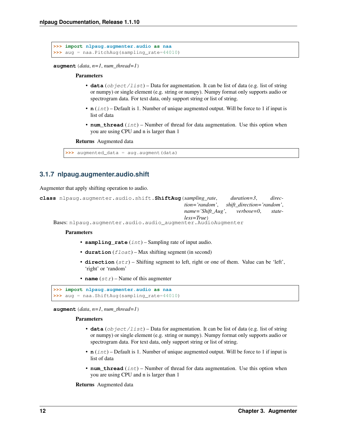```
>>> import nlpaug.augmenter.audio as naa
>>> aug = naa.PitchAug(sampling_rate=44010)
```
 $augment$  (*data*,  $n=1$ ,  $num\_thread=1$ )

#### Parameters

- **data** (object/list) Data for augmentation. It can be list of data (e.g. list of string or numpy) or single element (e.g. string or numpy). Numpy format only supports audio or spectrogram data. For text data, only support string or list of string.
- **n** (int) Default is 1. Number of unique augmented output. Will be force to 1 if input is list of data
- **num** thread  $(int)$  Number of thread for data augmentation. Use this option when you are using CPU and n is larger than 1

#### Returns Augmented data

```
>>> augmented_data = aug.augment(data)
```
## <span id="page-15-0"></span>**3.1.7 nlpaug.augmenter.audio.shift**

Augmenter that apply shifting operation to audio.

```
class nlpaug.augmenter.audio.shift.ShiftAug(sampling_rate, duration=3, direc-
                                                 tion='random', shift_direction='random',
                                                 name='Shift_Aug', verbose=0, state-
                                                 less=True)
    Bases: nlpaug.augmenter.audio.audio_augmenter.AudioAugmenter
```
#### **Parameters**

- **sampling\_rate** (int) Sampling rate of input audio.
- **duration** (*float*) Max shifting segment (in second)
- **direction**  $(str)$  Shifting segment to left, right or one of them. Value can be 'left', 'right' or 'random'
- **name**  $(str)$  Name of this augmenter

```
>>> import nlpaug.augmenter.audio as naa
>>> aug = naa.ShiftAug(sampling_rate=44010)
```
 $augment$  (*data*,  $n=1$ ,  $num\_thread=1$ )

### Parameters

- **data** (object/list) Data for augmentation. It can be list of data (e.g. list of string or numpy) or single element (e.g. string or numpy). Numpy format only supports audio or spectrogram data. For text data, only support string or list of string.
- **n** (int) Default is 1. Number of unique augmented output. Will be force to 1 if input is list of data
- **num\_thread** (int) Number of thread for data augmentation. Use this option when you are using CPU and n is larger than 1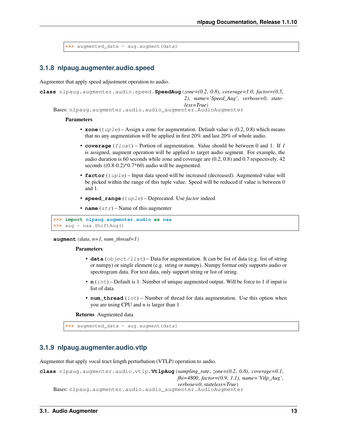```
>>> augmented_data = aug.augment(data)
```
### <span id="page-16-0"></span>**3.1.8 nlpaug.augmenter.audio.speed**

Augmenter that apply speed adjustment operation to audio.

```
class nlpaug.augmenter.audio.speed.SpeedAug(zone=(0.2, 0.8), coverage=1.0, factor=(0.5,
                                                   2), name='Speed_Aug', verbose=0, state-
                                                   less=True)
    Bases: nlpaug.augmenter.audio.audio_augmenter.AudioAugmenter
```
#### **Parameters**

- **zone** (*tuple*) Assign a zone for augmentation. Default value is (0.2, 0.8) which means that no any augmentation will be applied in first 20% and last 20% of whole audio.
- **coverage** (float) Portion of augmentation. Value should be between 0 and 1. If *1* is assigned, augment operation will be applied to target audio segment. For example, the audio duration is 60 seconds while zone and coverage are (0.2, 0.8) and 0.7 respectively. 42 seconds  $((0.8-0.2)*0.7*60)$  audio will be augmented.
- **factor** (*tuple*) Input data speed will be increased (decreased). Augmented value will be picked within the range of this tuple value. Speed will be reduced if value is between 0 and 1.
- **speed\_range** (tuple) Deprecated. Use *factor* indeed
- **name**  $(str)$  Name of this augmenter

```
>>> import nlpaug.augmenter.audio as naa
>>> aug = naa.ShiftAug()
```
**augment**(*data*, *n=1*, *num\_thread=1*)

#### Parameters

- **data** (object/list) Data for augmentation. It can be list of data (e.g. list of string or numpy) or single element (e.g. string or numpy). Numpy format only supports audio or spectrogram data. For text data, only support string or list of string.
- **n** (int) Default is 1. Number of unique augmented output. Will be force to 1 if input is list of data
- **num\_thread** (int) Number of thread for data augmentation. Use this option when you are using CPU and n is larger than 1

Returns Augmented data

```
>>> augmented_data = aug.augment(data)
```
### <span id="page-16-1"></span>**3.1.9 nlpaug.augmenter.audio.vtlp**

Augmenter that apply vocal tract length perturbation (VTLP) operation to audio.

```
class nlpaug.augmenter.audio.vtlp.VtlpAug(sampling_rate, zone=(0.2, 0.8), coverage=0.1,
                                                  fhi=4800, factor=(0.9, 1.1), name='Vtlp_Aug',
                                                  verbose=0, stateless=True)
    Bases: nlpaug.augmenter.audio.audio_augmenter.AudioAugmenter
```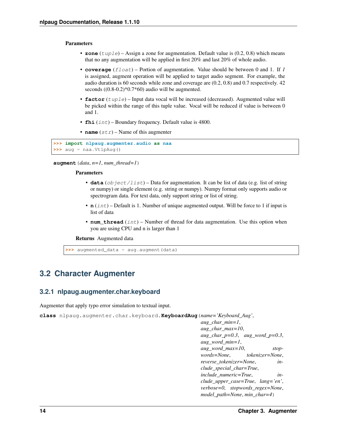### <span id="page-17-2"></span>**Parameters**

- **zone** (*tuple*) Assign a zone for augmentation. Default value is (0.2, 0.8) which means that no any augmentation will be applied in first 20% and last 20% of whole audio.
- **coverage** (float) Portion of augmentation. Value should be between 0 and 1. If *1* is assigned, augment operation will be applied to target audio segment. For example, the audio duration is 60 seconds while zone and coverage are (0.2, 0.8) and 0.7 respectively. 42 seconds  $((0.8-0.2)*0.7*60)$  audio will be augmented.
- **factor** (tuple) Input data vocal will be increased (decreased). Augmented value will be picked within the range of this tuple value. Vocal will be reduced if value is between 0 and 1.
- **fhi**  $(int)$  Boundary frequency. Default value is 4800.
- **name**  $(str)$  Name of this augmenter

```
>>> import nlpaug.augmenter.audio as naa
>>> aug = naa.VtlpAug()
```
**augment**(*data*, *n=1*, *num\_thread=1*)

### Parameters

- **data** (object/list) Data for augmentation. It can be list of data (e.g. list of string or numpy) or single element (e.g. string or numpy). Numpy format only supports audio or spectrogram data. For text data, only support string or list of string.
- **n** (int) Default is 1. Number of unique augmented output. Will be force to 1 if input is list of data
- **num** thread  $(int)$  Number of thread for data augmentation. Use this option when you are using CPU and n is larger than 1

Returns Augmented data

**>>>** augmented\_data = aug.augment(data)

# <span id="page-17-0"></span>**3.2 Character Augmenter**

### <span id="page-17-1"></span>**3.2.1 nlpaug.augmenter.char.keyboard**

Augmenter that apply typo error simulation to textual input.

**class** nlpaug.augmenter.char.keyboard.**KeyboardAug**(*name='Keyboard\_Aug'*,

*aug\_char\_min=1*, *aug\_char\_max=10*, *aug\_char\_p=0.3*, *aug\_word\_p=0.3*, *aug\_word\_min=1*, *aug\_word\_max=10*, *stopwords=None*, *tokenizer=None*, *reverse\_tokenizer=None*, *include\_special\_char=True*, *include\_numeric=True*, *include\_upper\_case=True*, *lang='en'*, *verbose=0*, *stopwords\_regex=None*, *model\_path=None*, *min\_char=4*)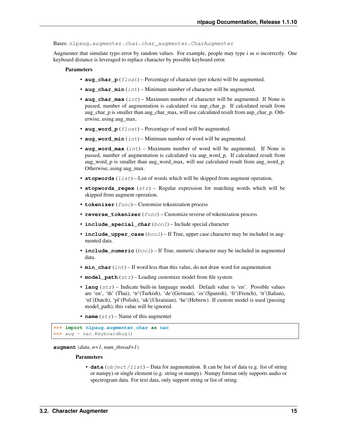<span id="page-18-0"></span>Bases: nlpaug.augmenter.char.char\_augmenter.CharAugmenter

Augmenter that simulate typo error by random values. For example, people may type i as o incorrectly. One keyboard distance is leveraged to replace character by possible keyboard error.

### **Parameters**

- **aug** char  $p(f$ *loat* $) Percentage of character (per token) will be augmented.$
- **aug\_char\_min** (int) Minimum number of character will be augmented.
- **aug\_char\_max** (int) Maximum number of character will be augmented. If None is passed, number of augmentation is calculated via aup\_char\_p. If calculated result from aug\_char\_p is smaller than aug\_char\_max, will use calculated result from aup\_char\_p. Otherwise, using aug\_max.
- **aug\_word\_p** (float) Percentage of word will be augmented.
- **aug\_word\_min** (int) Minimum number of word will be augmented.
- **aug\_word\_max** (int) Maximum number of word will be augmented. If None is passed, number of augmentation is calculated via aup\_word\_p. If calculated result from aug\_word\_p is smaller than aug\_word\_max, will use calculated result from aug\_word\_p. Otherwise, using aug\_max.
- **stopwords**  $(llist)$  List of words which will be skipped from augment operation.
- **stopwords\_regex** (str) Regular expression for matching words which will be skipped from augment operation.
- **tokenizer** (func) Customize tokenization process
- **reverse\_tokenizer** (func) Customize reverse of tokenization process
- **include\_special\_char** (bool) Include special character
- **include\_upper\_case** (bool) If True, upper case character may be included in augmented data.
- **include\_numeric** ( $boo1$ ) If True, numeric character may be included in augmented data.
- **min** char  $(int)$  If word less than this value, do not draw word for augmentation
- **model\_path**  $(str)$  Loading customize model from file system
- **lang**  $(str)$  Indicate built-in language model. Default value is 'en'. Possible values are 'en', 'th' (Thai), 'tr'(Turkish), 'de'(German), 'es'(Spanish), 'fr'(French), 'it'(Italian), 'nl'(Dutch), 'pl'(Polish), 'uk'(Ukrainian), 'he'(Hebrew). If custom model is used (passing model path), this value will be ignored.
- **name**  $(str)$  Name of this augmenter

```
>>> import nlpaug.augmenter.char as nac
>>> aug = nac.KeyboardAug()
```
**augment**  $(data, n=1, num<sub>thread=1</sub>)$ 

### Parameters

• **data** (*ob* ject/list) – Data for augmentation. It can be list of data (e.g. list of string or numpy) or single element (e.g. string or numpy). Numpy format only supports audio or spectrogram data. For text data, only support string or list of string.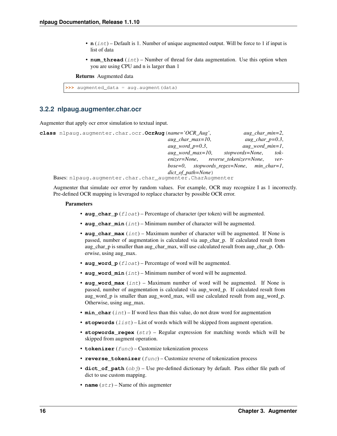- <span id="page-19-1"></span>• **n** (int) – Default is 1. Number of unique augmented output. Will be force to 1 if input is list of data
- **num\_thread** (int) Number of thread for data augmentation. Use this option when you are using CPU and n is larger than 1

Returns Augmented data

```
>>> augmented_data = aug.augment(data)
```
### <span id="page-19-0"></span>**3.2.2 nlpaug.augmenter.char.ocr**

Augmenter that apply ocr error simulation to textual input.

| class nlpaug.augmenter.char.ocr.OcrAug(name='OCR_Aug',    | $aug\_char\_min=2$ , |
|-----------------------------------------------------------|----------------------|
| $aug_{char\_max}=10$ ,                                    | aug_char_p= $0.3$ ,  |
| aug_word_p= $0.3$ ,                                       | $aug\_word\_min=1$ , |
| aug word $max=10$ ,<br>stopwords=None,                    | $tok-$               |
| enizer=None, reverse_tokenizer=None,                      | ver-                 |
| $bose=0$ , stopwords regex=None, min char=1,              |                      |
| $dict\_of\_path = None$                                   |                      |
| Bases: nlpaug.augmenter.char.char_augmenter.CharAugmenter |                      |

Augmenter that simulate ocr error by random values. For example, OCR may recognize I as 1 incorrectly. Pre-defined OCR mapping is leveraged to replace character by possible OCR error.

#### **Parameters**

- **aug\_char\_p** (float) Percentage of character (per token) will be augmented.
- **aug** char  $min(int) Minimum number of character will be augmented.$
- **aug\_char\_max** (int) Maximum number of character will be augmented. If None is passed, number of augmentation is calculated via aup\_char\_p. If calculated result from aug\_char\_p is smaller than aug\_char\_max, will use calculated result from aup\_char\_p. Otherwise, using aug\_max.
- **aug\_word\_p** (float) Percentage of word will be augmented.
- **aug\_word\_min** (int) Minimum number of word will be augmented.
- **aug\_word\_max** (int) Maximum number of word will be augmented. If None is passed, number of augmentation is calculated via aup\_word\_p. If calculated result from aug\_word\_p is smaller than aug\_word\_max, will use calculated result from aug\_word\_p. Otherwise, using aug\_max.
- **min** char  $(int)$  If word less than this value, do not draw word for augmentation
- **stopwords** (*list*) List of words which will be skipped from augment operation.
- **stopwords\_regex** (str) Regular expression for matching words which will be skipped from augment operation.
- **tokenizer** (func) Customize tokenization process
- **reverse\_tokenizer** (func) Customize reverse of tokenization process
- **dict\_of\_path** (*obj*) Use pre-defined dictionary by default. Pass either file path of dict to use custom mapping.
- **name**  $(str)$  Name of this augmenter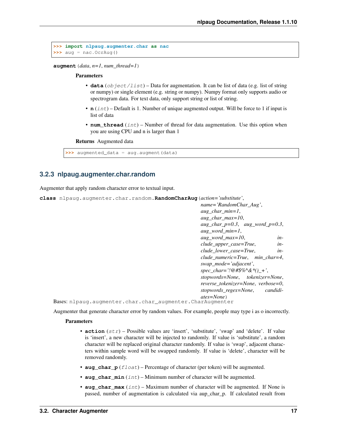```
>>> import nlpaug.augmenter.char as nac
>>> aug = nac.OcrAug()
```
**augment**(*data*, *n=1*, *num\_thread=1*)

#### Parameters

- **data** (object/list) Data for augmentation. It can be list of data (e.g. list of string or numpy) or single element (e.g. string or numpy). Numpy format only supports audio or spectrogram data. For text data, only support string or list of string.
- **n** (int) Default is 1. Number of unique augmented output. Will be force to 1 if input is list of data
- **num** thread  $(int)$  Number of thread for data augmentation. Use this option when you are using CPU and n is larger than 1

#### Returns Augmented data

**>>>** augmented\_data = aug.augment(data)

### <span id="page-20-0"></span>**3.2.3 nlpaug.augmenter.char.random**

Augmenter that apply random character error to textual input.

**class** nlpaug.augmenter.char.random.**RandomCharAug**(*action='substitute'*,

*name='RandomChar\_Aug'*, *aug\_char\_min=1*, *aug\_char\_max=10*, *aug\_char\_p=0.3*, *aug\_word\_p=0.3*, *aug\_word\_min=1*, *aug\_word\_max=10*, *include\_upper\_case=True*, *include\_lower\_case=True*, *include\_numeric=True*, *min\_char=4*, *swap\_mode='adjacent'*, *spec\_char='!@#\$%^&\*()\_+'*, *stopwords=None*, *tokenizer=None*, *reverse\_tokenizer=None*, *verbose=0*, *stopwords\_regex=None*, *candidiates=None*)

```
Bases: nlpaug.augmenter.char.char_augmenter.CharAugmenter
```
Augmenter that generate character error by random values. For example, people may type i as o incorrectly.

### **Parameters**

- **action**  $(str)$  Possible values are 'insert', 'substitute', 'swap' and 'delete'. If value is 'insert', a new character will be injected to randomly. If value is 'substitute', a random character will be replaced original character randomly. If value is 'swap', adjacent characters within sample word will be swapped randomly. If value is 'delete', character will be removed randomly.
- **aug** char  $p(f$ *loat* $) Percentage of character (per token) will be augmented.$
- **aug** char  $min(int) Minimum number of character will be augmented.$
- **aug\_char\_max** (int) Maximum number of character will be augmented. If None is passed, number of augmentation is calculated via aup\_char\_p. If calculated result from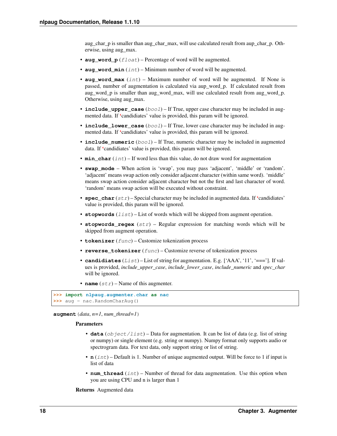<span id="page-21-0"></span>aug char p is smaller than aug char max, will use calculated result from aup char p. Otherwise, using aug\_max.

- **aug\_word\_p** (float) Percentage of word will be augmented.
- **aug\_word\_min** (int) Minimum number of word will be augmented.
- **aug** word max  $(int)$  Maximum number of word will be augmented. If None is passed, number of augmentation is calculated via aup\_word\_p. If calculated result from aug word p is smaller than aug word max, will use calculated result from aug word p. Otherwise, using aug\_max.
- **include\_upper\_case** (bool) If True, upper case character may be included in augmented data. If 'candidiates' value is provided, this param will be ignored.
- **include\_lower\_case** (bool) If True, lower case character may be included in augmented data. If 'candidiates' value is provided, this param will be ignored.
- **include\_numeric** (bool) If True, numeric character may be included in augmented data. If 'candidiates' value is provided, this param will be ignored.
- **min** char  $(int)$  If word less than this value, do not draw word for augmentation
- **swap\_mode** When action is 'swap', you may pass 'adjacent', 'middle' or 'random'. 'adjacent' means swap action only consider adjacent character (within same word). 'middle' means swap action consider adjacent character but not the first and last character of word. 'random' means swap action will be executed without constraint.
- **spec\_char**  $(str)$  Special character may be included in augmented data. If 'candidiates' value is provided, this param will be ignored.
- **stopwords**  $(llist)$  List of words which will be skipped from augment operation.
- **stopwords\_regex** (str) Regular expression for matching words which will be skipped from augment operation.
- **tokenizer** (func) Customize tokenization process
- **reverse\_tokenizer** (func) Customize reverse of tokenization process
- **candidiates** (List) List of string for augmentation. E.g. ['AAA', '11', '===']. If values is provided, *include\_upper\_case*, *include\_lower\_case*, *include\_numeric* and *spec\_char* will be ignored.
- **name**  $(str)$  Name of this augmenter.

```
>>> import nlpaug.augmenter.char as nac
>>> aug = nac.RandomCharAug()
```
**augment**(*data*, *n=1*, *num\_thread=1*)

### Parameters

- **data** (*ob*  $ject / list$ ) Data for augmentation. It can be list of data (e.g. list of string or numpy) or single element (e.g. string or numpy). Numpy format only supports audio or spectrogram data. For text data, only support string or list of string.
- **n** (int) Default is 1. Number of unique augmented output. Will be force to 1 if input is list of data
- **num\_thread** (int) Number of thread for data augmentation. Use this option when you are using CPU and n is larger than 1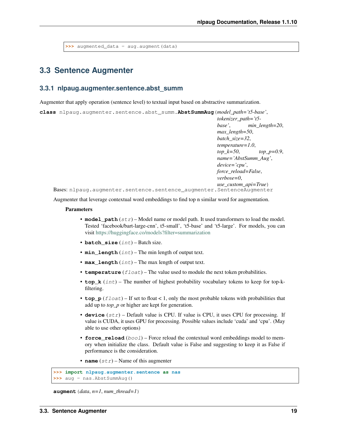<span id="page-22-2"></span>**>>>** augmented\_data = aug.augment(data)

# <span id="page-22-0"></span>**3.3 Sentence Augmenter**

### <span id="page-22-1"></span>**3.3.1 nlpaug.augmenter.sentence.abst\_summ**

Augmenter that apply operation (sentence level) to textual input based on abstractive summarization.

**class** nlpaug.augmenter.sentence.abst\_summ.**AbstSummAug**(*model\_path='t5-base'*,

*tokenizer\_path='t5 base'*, *min\_length=20*, *max\_length=50*, *batch\_size=32*, *temperature=1.0*, *top\_k=50*, *top\_p=0.9*, *name='AbstSumm\_Aug'*, *device='cpu'*, *force\_reload=False*, *verbose=0*, *use\_custom\_api=True*)

Bases: nlpaug.augmenter.sentence.sentence\_augmenter.SentenceAugmenter

Augmenter that leverage contextual word embeddings to find top n similar word for augmentation.

### Parameters

- model\_path  $(str)$  Model name or model path. It used transformers to load the model. Tested 'facebook/bart-large-cnn', t5-small', 't5-base' and 't5-large'. For models, you can visit <https://huggingface.co/models?filter=summarization>
- **batch\_size** (int) Batch size.
- **min\_length** (int) The min length of output text.
- **max\_length** (int) The max length of output text.
- **temperature**  $(fload)$  The value used to module the next token probabilities.
- **top\_k** (int) The number of highest probability vocabulary tokens to keep for top-kfiltering.
- **top\_p**  $(f$ loat) If set to float < 1, only the most probable tokens with probabilities that add up to *top\_p* or higher are kept for generation.
- **device** (str) Default value is CPU. If value is CPU, it uses CPU for processing. If value is CUDA, it uses GPU for processing. Possible values include 'cuda' and 'cpu'. (May able to use other options)
- **force\_reload** (bool) Force reload the contextual word embeddings model to memory when initialize the class. Default value is False and suggesting to keep it as False if performance is the consideration.
- **name**  $(str)$  Name of this augmenter

```
>>> import nlpaug.augmenter.sentence as nas
>>> aug = nas.AbstSummAug()
```
**augment**  $(data, n=1, num, thread=1)$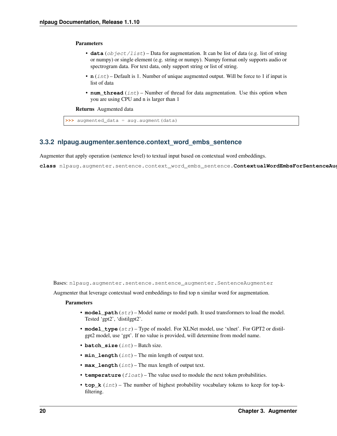### <span id="page-23-1"></span>Parameters

- **data** (*object/list*) Data for augmentation. It can be list of data (e.g. list of string or numpy) or single element (e.g. string or numpy). Numpy format only supports audio or spectrogram data. For text data, only support string or list of string.
- **n** (int) Default is 1. Number of unique augmented output. Will be force to 1 if input is list of data
- **num** thread  $(int)$  Number of thread for data augmentation. Use this option when you are using CPU and n is larger than 1

Returns Augmented data

```
>>> augmented_data = aug.augment(data)
```
### <span id="page-23-0"></span>**3.3.2 nlpaug.augmenter.sentence.context\_word\_embs\_sentence**

Augmenter that apply operation (sentence level) to textual input based on contextual word embeddings.

**class** nlpaug.augmenter.sentence.context\_word\_embs\_sentence.**ContextualWordEmbsForSentenceAug**(*model\_path='gpt2'*,

Bases: nlpaug.augmenter.sentence.sentence\_augmenter.SentenceAugmenter

Augmenter that leverage contextual word embeddings to find top n similar word for augmentation.

### Parameters

- **model**  $path (str)$  Model name or model path. It used transformers to load the model. Tested 'gpt2', 'distilgpt2'.
- **model\_type** (str) Type of model. For XLNet model, use 'xlnet'. For GPT2 or distilgpt2 model, use 'gpt'. If no value is provided, will determine from model name.
- **batch\_size** (int) Batch size.
- **min\_length** (int) The min length of output text.
- max\_length  $(int)$  The max length of output text.
- **temperature**  $(fload)$  The value used to module the next token probabilities.
- **top\_k** (int) The number of highest probability vocabulary tokens to keep for top-kfiltering.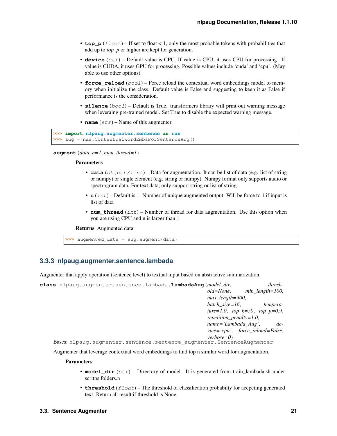- <span id="page-24-1"></span>• **top**  $p(f\text{load}) - If set to float < 1$ , only the most probable tokens with probabilities that add up to *top\_p* or higher are kept for generation.
- **device** (str) Default value is CPU. If value is CPU, it uses CPU for processing. If value is CUDA, it uses GPU for processing. Possible values include 'cuda' and 'cpu'. (May able to use other options)
- **force** reload (bool) Force reload the contextual word embeddings model to memory when initialize the class. Default value is False and suggesting to keep it as False if performance is the consideration.
- **silence** (bool) Default is True. transformers library will print out warning message when leveraing pre-trained model. Set True to disable the expected warning message.
- **name**  $(str)$  Name of this augmenter

```
>>> import nlpaug.augmenter.sentence as nas
>>> aug = nas.ContextualWordEmbsForSentenceAug()
```
**augment**  $(data, n=1, num$  *thread=1*)

#### Parameters

- **data** (object/list) Data for augmentation. It can be list of data (e.g. list of string or numpy) or single element (e.g. string or numpy). Numpy format only supports audio or spectrogram data. For text data, only support string or list of string.
- **n** (int) Default is 1. Number of unique augmented output. Will be force to 1 if input is list of data
- **num\_thread** (int) Number of thread for data augmentation. Use this option when you are using CPU and n is larger than 1

Returns Augmented data

**>>>** augmented\_data = aug.augment(data)

### <span id="page-24-0"></span>**3.3.3 nlpaug.augmenter.sentence.lambada**

Augmenter that apply operation (sentence level) to textual input based on abstractive summarization.

| class nlpaug.augmenter.sentence.lambada.LambadaAug( <i>model dir</i> , |                         | thresh-                           |
|------------------------------------------------------------------------|-------------------------|-----------------------------------|
|                                                                        | old=None.               | $min$ length=100,                 |
|                                                                        | $max$ length=300,       |                                   |
|                                                                        | batch size=16,          | tempera-                          |
|                                                                        |                         | ture=1.0, top_k=50, top_p=0.9,    |
|                                                                        | repetition_penalty=1.0, |                                   |
|                                                                        | $name='Lambda_Aug',$    | $de-$                             |
|                                                                        |                         | $vice='cpu', force_reload=False,$ |
|                                                                        | $verbose=0$             |                                   |
| Bases: nlpauq.augmenter.sentence.sentence augmenter.SentenceAugmenter  |                         |                                   |

Augmenter that leverage contextual word embeddings to find top n similar word for augmentation.

#### **Parameters**

- **model\_dir** (str) Directory of model. It is generated from train\_lambada.sh under scritps folders.n
- **threshold** (float) The threshold of classification probabilty for accpeting generated text. Return all result if threshold is None.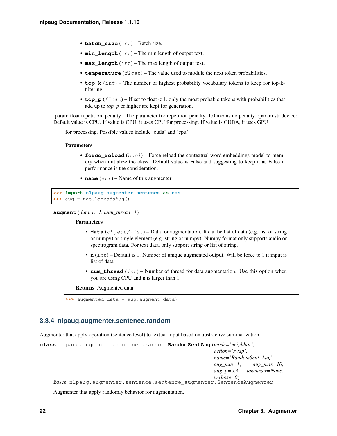- <span id="page-25-1"></span>• **batch** size (int) – Batch size.
- **min\_length** (int) The min length of output text.
- max\_length  $(int)$  The max length of output text.
- **temperature**  $(fload)$  The value used to module the next token probabilities.
- **top k** (int) The number of highest probability vocabulary tokens to keep for top-kfiltering.
- **top\_p**  $(f$ loat) If set to float < 1, only the most probable tokens with probabilities that add up to *top\_p* or higher are kept for generation.

:param float repetition\_penalty : The parameter for repetition penalty. 1.0 means no penalty. :param str device: Default value is CPU. If value is CPU, it uses CPU for processing. If value is CUDA, it uses GPU

for processing. Possible values include 'cuda' and 'cpu'.

### **Parameters**

- **force** reload  $(boool)$  Force reload the contextual word embeddings model to memory when initialize the class. Default value is False and suggesting to keep it as False if performance is the consideration.
- **name**  $(str)$  Name of this augmenter

```
>>> import nlpaug.augmenter.sentence as nas
>>> aug = nas.LambadaAug()
```
**augment**(*data*, *n=1*, *num\_thread=1*)

#### **Parameters**

- **data** (*object/list*) Data for augmentation. It can be list of data (e.g. list of string or numpy) or single element (e.g. string or numpy). Numpy format only supports audio or spectrogram data. For text data, only support string or list of string.
- **n** (int) Default is 1. Number of unique augmented output. Will be force to 1 if input is list of data
- **num\_thread** (int) Number of thread for data augmentation. Use this option when you are using CPU and n is larger than 1

#### Returns Augmented data

```
>>> augmented_data = aug.augment(data)
```
### <span id="page-25-0"></span>**3.3.4 nlpaug.augmenter.sentence.random**

Augmenter that apply operation (sentence level) to textual input based on abstractive summarization.

```
class nlpaug.augmenter.sentence.random.RandomSentAug(mode='neighbor',
                                                           action='swap',
                                                           name='RandomSent_Aug',
                                                           aug_min=1, aug_max=10,
                                                           aug_p=0.3, tokenizer=None,
                                                           verbose=0)
    Bases: nlpaug.augmenter.sentence.sentence_augmenter.SentenceAugmenter
```
Augmenter that apply randomly behavior for augmentation.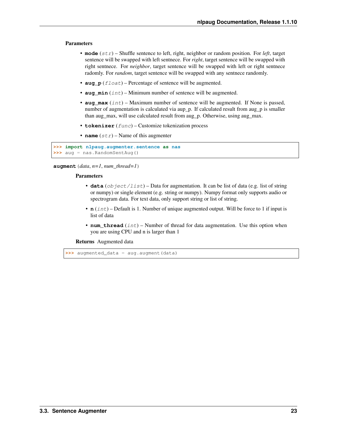### <span id="page-26-0"></span>**Parameters**

- **mode** (str) Shuffle sentence to left, right, neighbor or random position. For *left*, target sentence will be swapped with left sentnece. For *right*, target sentence will be swapped with right sentnece. For *neighbor*, target sentence will be swapped with left or right sentnece radomly. For *random*, target sentence will be swapped with any sentnece randomly.
- **aug**  $p$  (*float*) Percentage of sentence will be augmented.
- **aug\_min** (int) Minimum number of sentence will be augmented.
- **aug\_max** (int) Maximum number of sentence will be augmented. If None is passed, number of augmentation is calculated via aup\_p. If calculated result from aug\_p is smaller than aug\_max, will use calculated result from aug\_p. Otherwise, using aug\_max.
- **tokenizer** (func) Customize tokenization process
- **name**  $(str)$  Name of this augmenter

```
>>> import nlpaug.augmenter.sentence as nas
>>> aug = nas.RandomSentAug()
```
**augment**(*data*, *n=1*, *num\_thread=1*)

#### Parameters

- **data** (object/list) Data for augmentation. It can be list of data (e.g. list of string or numpy) or single element (e.g. string or numpy). Numpy format only supports audio or spectrogram data. For text data, only support string or list of string.
- **n** (int) Default is 1. Number of unique augmented output. Will be force to 1 if input is list of data
- **num** thread  $(int)$  Number of thread for data augmentation. Use this option when you are using CPU and n is larger than 1

Returns Augmented data

**>>>** augmented\_data = aug.augment(data)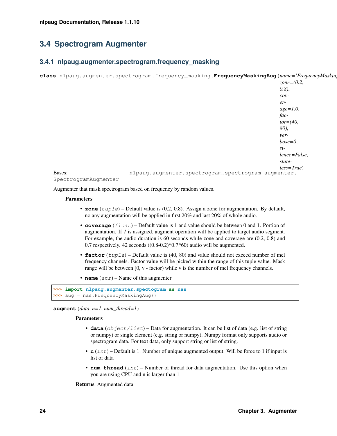# <span id="page-27-2"></span><span id="page-27-0"></span>**3.4 Spectrogram Augmenter**

### <span id="page-27-1"></span>**3.4.1 nlpaug.augmenter.spectrogram.frequency\_masking**

**class** nlpaug.augmenter.spectrogram.frequency\_masking.**FrequencyMaskingAug**(*name='FrequencyMasking\_Aug'*,

|                      |                                                     | $zone = (0.2,$    |
|----------------------|-----------------------------------------------------|-------------------|
|                      |                                                     | $(0.8)$ ,         |
|                      |                                                     | $\mathcal{C}ov$ - |
|                      |                                                     | $er-$             |
|                      |                                                     | $age=1.0$ ,       |
|                      |                                                     | $fac-$            |
|                      |                                                     | $tor=(40,$        |
|                      |                                                     | 80),              |
|                      |                                                     | ver-              |
|                      |                                                     | $bose=0$ ,        |
|                      |                                                     | $si$ -            |
|                      |                                                     | lence=False,      |
|                      |                                                     | state-            |
|                      |                                                     | $less=True)$      |
| Bases:               | nlpaug.augmenter.spectrogram.spectrogram_augmenter. |                   |
| SpectrogramAugmenter |                                                     |                   |

Augmenter that mask spectrogram based on frequency by random values.

### Parameters

- **zone** (tuple) Default value is (0.2, 0.8). Assign a zone for augmentation. By default, no any augmentation will be applied in first 20% and last 20% of whole audio.
- **coverage** (float) Default value is 1 and value should be between 0 and 1. Portion of augmentation. If *1* is assigned, augment operation will be applied to target audio segment. For example, the audio duration is 60 seconds while zone and coverage are (0.2, 0.8) and 0.7 respectively. 42 seconds  $((0.8-0.2)*0.7*60)$  audio will be augmented.
- **factor** (*tuple*) Default value is (40, 80) and value should not exceed number of mel frequency channels. Factor value will be picked within the range of this tuple value. Mask range will be between [0, v - factor) while v is the number of mel frequency channels.
- **name**  $(str)$  Name of this augmenter

```
>>> import nlpaug.augmenter.spectogram as nas
>>> aug = nas.FrequencyMaskingAug()
```
**augment**(*data*, *n=1*, *num\_thread=1*)

### Parameters

- **data** (object/list) Data for augmentation. It can be list of data (e.g. list of string or numpy) or single element (e.g. string or numpy). Numpy format only supports audio or spectrogram data. For text data, only support string or list of string.
- **n** (int) Default is 1. Number of unique augmented output. Will be force to 1 if input is list of data
- **num\_thread** (int) Number of thread for data augmentation. Use this option when you are using CPU and n is larger than 1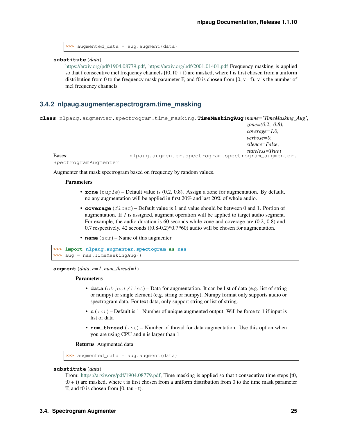```
>>> augmented_data = aug.augment(data)
```
**substitute**(*data*)

[https://arxiv.org/pdf/1904.08779.pdf,](https://arxiv.org/pdf/1904.08779.pdf) <https://arxiv.org/pdf/2001.01401.pdf> Frequency masking is applied so that f consecutive mel frequency channels  $[ $f(0, f(0) + f)$ )$  are masked, where f is first chosen from a uniform distribution from 0 to the frequency mask parameter F, and f0 is chosen from  $[0, v - f]$ . v is the number of mel frequency channels.

### <span id="page-28-0"></span>**3.4.2 nlpaug.augmenter.spectrogram.time\_masking**

|                      |  | class nlpaug.augmenter.spectrogram.time_masking.TimeMaskingAug(name='TimeMasking_Aug', |
|----------------------|--|----------------------------------------------------------------------------------------|
|                      |  | zone= $(0.2, 0.8)$ ,                                                                   |
|                      |  | $coverage=1.0,$                                                                        |
|                      |  | $verbose = 0$ .                                                                        |
|                      |  | silence=False,                                                                         |
|                      |  | stateless=True)                                                                        |
| Bases:               |  | nlpaug.augmenter.spectrogram.spectrogram augmenter.                                    |
| SpectrogramAugmenter |  |                                                                                        |

Augmenter that mask spectrogram based on frequency by random values.

### **Parameters**

- **zone** (tuple) Default value is (0.2, 0.8). Assign a zone for augmentation. By default, no any augmentation will be applied in first 20% and last 20% of whole audio.
- **coverage** (float) Default value is 1 and value should be between 0 and 1. Portion of augmentation. If *1* is assigned, augment operation will be applied to target audio segment. For example, the audio duration is 60 seconds while zone and coverage are (0.2, 0.8) and 0.7 respectively. 42 seconds ((0.8-0.2)\*0.7\*60) audio will be chosen for augmentation.
- **name**  $(str)$  Name of this augmenter

```
>>> import nlpaug.augmenter.spectogram as nas
>>> aug = nas.TimeMaskingAug()
```
**augment**  $(data, n=1, num$  *thread=1*)

#### Parameters

- **data** (object/list) Data for augmentation. It can be list of data (e.g. list of string or numpy) or single element (e.g. string or numpy). Numpy format only supports audio or spectrogram data. For text data, only support string or list of string.
- **n** (int) Default is 1. Number of unique augmented output. Will be force to 1 if input is list of data
- **num** thread  $(int)$  Number of thread for data augmentation. Use this option when you are using CPU and n is larger than 1

Returns Augmented data

**>>>** augmented\_data = aug.augment(data)

### **substitute**(*data*)

From: [https://arxiv.org/pdf/1904.08779.pdf,](https://arxiv.org/pdf/1904.08779.pdf) Time masking is applied so that t consecutive time steps [t0,  $t0 + t$ ) are masked, where t is first chosen from a uniform distribution from 0 to the time mask parameter T, and t0 is chosen from [0, tau - t).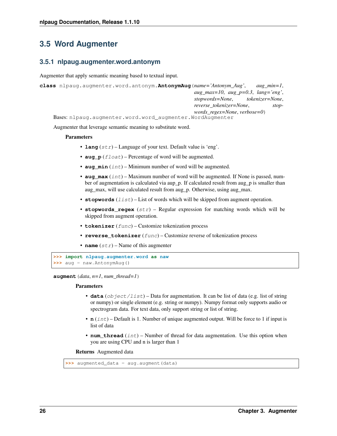# <span id="page-29-2"></span><span id="page-29-0"></span>**3.5 Word Augmenter**

### <span id="page-29-1"></span>**3.5.1 nlpaug.augmenter.word.antonym**

Augmenter that apply semantic meaning based to textual input.

```
class nlpaug.augmenter.word.antonym.AntonymAug(name='Antonym_Aug', aug_min=1,
                                                    aug_max=10, aug_p=0.3, lang='eng',
                                                    stopwords=None, tokenizer=None,
                                                    reverse_tokenizer=None, stop-
                                                    words_regex=None, verbose=0)
    Bases: nlpaug.augmenter.word.word_augmenter.WordAugmenter
```
Augmenter that leverage semantic meaning to substitute word.

### **Parameters**

- **lang**  $(str)$  Language of your text. Default value is 'eng'.
- **aug\_p** (float) Percentage of word will be augmented.
- **aug\_min** (int) Minimum number of word will be augmented.
- **aug\_max** (int) Maximum number of word will be augmented. If None is passed, number of augmentation is calculated via aup\_p. If calculated result from aug\_p is smaller than aug\_max, will use calculated result from aug\_p. Otherwise, using aug\_max.
- **stopwords**  $(llist)$  List of words which will be skipped from augment operation.
- **stopwords\_regex** (str) Regular expression for matching words which will be skipped from augment operation.
- **tokenizer** (func) Customize tokenization process
- **reverse\_tokenizer** (func) Customize reverse of tokenization process
- **name**  $(str)$  Name of this augmenter

```
>>> import nlpaug.augmenter.word as naw
>>> aug = naw.AntonymAug()
```
**augment**  $(data, n=1, num$  *thread=1*)

### Parameters

- **data** (*object/list*) Data for augmentation. It can be list of data (e.g. list of string or numpy) or single element (e.g. string or numpy). Numpy format only supports audio or spectrogram data. For text data, only support string or list of string.
- **n** (int) Default is 1. Number of unique augmented output. Will be force to 1 if input is list of data
- **num\_thread** (int) Number of thread for data augmentation. Use this option when you are using CPU and n is larger than 1

```
>>> augmented_data = aug.augment(data)
```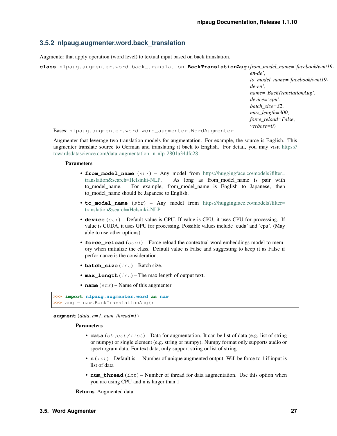### <span id="page-30-1"></span><span id="page-30-0"></span>**3.5.2 nlpaug.augmenter.word.back\_translation**

Augmenter that apply operation (word level) to textual input based on back translation.

**class** nlpaug.augmenter.word.back\_translation.**BackTranslationAug**(*from\_model\_name='facebook/wmt19-*

*en-de'*, *to\_model\_name='facebook/wmt19 de-en'*, *name='BackTranslationAug'*, *device='cpu'*, *batch\_size=32*, *max\_length=300*, *force\_reload=False*, *verbose=0*)

Bases: nlpaug.augmenter.word.word\_augmenter.WordAugmenter

Augmenter that leverage two translation models for augmentation. For example, the source is English. This augmenter translate source to German and translating it back to English. For detail, you may visit [https://](https://towardsdatascience.com/data-augmentation-in-nlp-2801a34dfc28) [towardsdatascience.com/data-augmentation-in-nlp-2801a34dfc28](https://towardsdatascience.com/data-augmentation-in-nlp-2801a34dfc28)

### **Parameters**

- **from\_model\_name** (str) Any model from [https://huggingface.co/models?filter=](https://huggingface.co/models?filter=translation&search=Helsinki-NLP) [translation&search=Helsinki-NLP.](https://huggingface.co/models?filter=translation&search=Helsinki-NLP) As long as from\_model\_name is pair with to\_model\_name. For example, from\_model\_name is English to Japanese, then to model name should be Japanese to English.
- **to\_model\_name** (str) Any model from [https://huggingface.co/models?filter=](https://huggingface.co/models?filter=translation&search=Helsinki-NLP) [translation&search=Helsinki-NLP.](https://huggingface.co/models?filter=translation&search=Helsinki-NLP)
- **device** (str) Default value is CPU. If value is CPU, it uses CPU for processing. If value is CUDA, it uses GPU for processing. Possible values include 'cuda' and 'cpu'. (May able to use other options)
- **force\_reload** (bool) Force reload the contextual word embeddings model to memory when initialize the class. Default value is False and suggesting to keep it as False if performance is the consideration.
- **batch\_size** (int) Batch size.
- **max\_length** (int) The max length of output text.
- **name**  $(str)$  Name of this augmenter

```
>>> import nlpaug.augmenter.word as naw
>>> aug = naw.BackTranslationAug()
```
**augment**  $(data, n=1, num<sub>thread=1</sub>)$ 

#### Parameters

- **data** (object/list) Data for augmentation. It can be list of data (e.g. list of string or numpy) or single element (e.g. string or numpy). Numpy format only supports audio or spectrogram data. For text data, only support string or list of string.
- **n** (int) Default is 1. Number of unique augmented output. Will be force to 1 if input is list of data
- **num\_thread** (int) Number of thread for data augmentation. Use this option when you are using CPU and n is larger than 1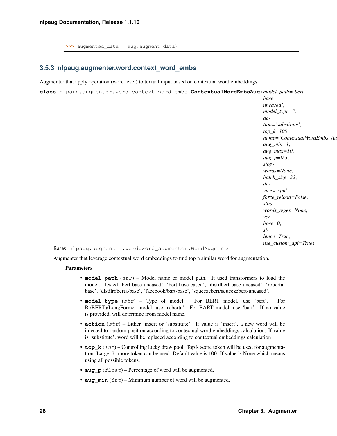<span id="page-31-1"></span>**>>>** augmented\_data = aug.augment(data)

## <span id="page-31-0"></span>**3.5.3 nlpaug.augmenter.word.context\_word\_embs**

Augmenter that apply operation (word level) to textual input based on contextual word embeddings.

**class** nlpaug.augmenter.word.context\_word\_embs.**ContextualWordEmbsAug**(*model\_path='bert-*

```
base-
uncased',
model_type=",
ac-
tion='substitute',
top_k=100,
name='ContextualWordEmbs_Aug',
aug_min=1,
aug_max=10,
aug_p=0.3,
stop-
words=None,
batch_size=32,
de-
vice='cpu',
force_reload=False,
stop-
words_regex=None,
ver-
bose=0,
si-
lence=True,
use_custom_api=True)
```
Bases: nlpaug.augmenter.word.word\_augmenter.WordAugmenter

Augmenter that leverage contextual word embeddings to find top n similar word for augmentation.

### Parameters

- **model\_path** (str) Model name or model path. It used transformers to load the model. Tested 'bert-base-uncased', 'bert-base-cased', 'distilbert-base-uncased', 'robertabase', 'distilroberta-base', 'facebook/bart-base', 'squeezebert/squeezebert-uncased'.
- **model\_type** (str) Type of model. For BERT model, use 'bert'. For RoBERTa/LongFormer model, use 'roberta'. For BART model, use 'bart'. If no value is provided, will determine from model name.
- **action** (str) Either 'insert or 'substitute'. If value is 'insert', a new word will be injected to random position according to contextual word embeddings calculation. If value is 'substitute', word will be replaced according to contextual embeddings calculation
- **top\_k** (int) Controlling lucky draw pool. Top k score token will be used for augmentation. Larger k, more token can be used. Default value is 100. If value is None which means using all possible tokens.
- **aug\_p** (*float*) Percentage of word will be augmented.
- **aug\_min** (int) Minimum number of word will be augmented.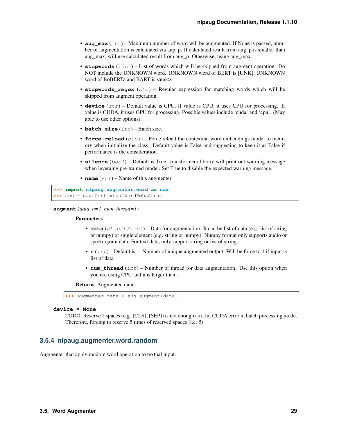- <span id="page-32-1"></span>• **aug** max  $(int)$  – Maximum number of word will be augmented. If None is passed, number of augmentation is calculated via aup\_p. If calculated result from aug\_p is smaller than aug\_max, will use calculated result from aug\_p. Otherwise, using aug\_max.
- **stopwords** (*list*) List of words which will be skipped from augment operation. Do NOT include the UNKNOWN word. UNKNOWN word of BERT is [UNK]. UNKNOWN word of RoBERTa and BART is <unk>.
- **stopwords\_regex** (str) Regular expression for matching words which will be skipped from augment operation.
- **device** (str) Default value is CPU. If value is CPU, it uses CPU for processing. If value is CUDA, it uses GPU for processing. Possible values include 'cuda' and 'cpu'. (May able to use other options)
- **batch\_size** (int) Batch size.
- **force\_reload** ( $boo1$ ) Force reload the contextual word embeddings model to memory when initialize the class. Default value is False and suggesting to keep it as False if performance is the consideration.
- **silence** (bool) Default is True. transformers library will print out warning message when leveraing pre-trained model. Set True to disable the expected warning message.
- **name**  $(str)$  Name of this augmenter

```
>>> import nlpaug.augmenter.word as naw
>>> aug = naw.ContextualWordEmbsAug()
```

```
augment(data, n=1, num_thread=1)
```
### Parameters

- $\bullet$  **data** (object/list) Data for augmentation. It can be list of data (e.g. list of string or numpy) or single element (e.g. string or numpy). Numpy format only supports audio or spectrogram data. For text data, only support string or list of string.
- **n** (int) Default is 1. Number of unique augmented output. Will be force to 1 if input is list of data
- **num\_thread** (int) Number of thread for data augmentation. Use this option when you are using CPU and n is larger than 1

Returns Augmented data

```
>>> augmented_data = aug.augment(data)
```
### **device = None**

```
TODO: Reserve 2 spaces (e.g. [CLS], [SEP]) is not enough as it hit CUDA error in batch processing mode.
Therefore, forcing to reserve 5 times of reserved spaces (i.e. 5)
```
## <span id="page-32-0"></span>**3.5.4 nlpaug.augmenter.word.random**

Augmenter that apply random word operation to textual input.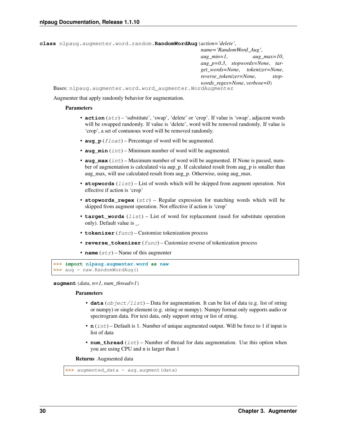<span id="page-33-0"></span>**class** nlpaug.augmenter.word.random.**RandomWordAug**(*action='delete'*,

```
name='RandomWord_Aug',
                                                   aug_min=1, aug_max=10,
                                                   aug_p=0.3, stopwords=None, tar-
                                                   get_words=None, tokenizer=None,
                                                   reverse_tokenizer=None, stop-
                                                   words_regex=None, verbose=0)
Bases: nlpaug.augmenter.word.word_augmenter.WordAugmenter
```
Augmenter that apply randomly behavior for augmentation.

### **Parameters**

- **action**  $(str)$  'substitute', 'swap', 'delete' or 'crop'. If value is 'swap', adjacent words will be swapped randomly. If value is 'delete', word will be removed randomly. If value is 'crop', a set of contunous word will be removed randomly.
- **aug**  $p(fload)$  Percentage of word will be augmented.
- **aug\_min** (int) Minimum number of word will be augmented.
- **aug\_max** (int) Maximum number of word will be augmented. If None is passed, number of augmentation is calculated via aup p. If calculated result from aug p is smaller than aug\_max, will use calculated result from aug\_p. Otherwise, using aug\_max.
- **stopwords** (*list*) List of words which will be skipped from augment operation. Not effective if action is 'crop'
- **stopwords\_regex** (str) Regular expression for matching words which will be skipped from augment operation. Not effective if action is 'crop'
- **target words**  $(llist)$  List of word for replacement (used for substitute operation only). Default value is \_.
- **tokenizer** (func) Customize tokenization process
- **reverse\_tokenizer** (func) Customize reverse of tokenization process
- **name**  $(str)$  Name of this augmenter

```
>>> import nlpaug.augmenter.word as naw
>>> aug = naw.RandomWordAug()
```
**augment**  $(data, n=1, num<sub>thread=1</sub>)$ 

### Parameters

- **data** (object/list) Data for augmentation. It can be list of data (e.g. list of string or numpy) or single element (e.g. string or numpy). Numpy format only supports audio or spectrogram data. For text data, only support string or list of string.
- **n** (int) Default is 1. Number of unique augmented output. Will be force to 1 if input is list of data
- **num\_thread** (int) Number of thread for data augmentation. Use this option when you are using CPU and n is larger than 1

```
>>> augmented_data = aug.augment(data)
```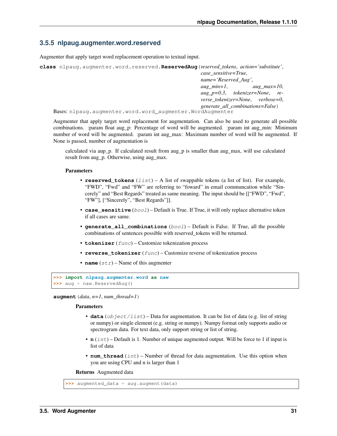### <span id="page-34-1"></span><span id="page-34-0"></span>**3.5.5 nlpaug.augmenter.word.reserved**

Augmenter that apply target word replacement operation to textual input.

```
class nlpaug.augmenter.word.reserved.ReservedAug(reserved_tokens, action='substitute',
                                                         case_sensitive=True,
                                                         name='Reserved_Aug',
                                                         aug_min=1, aug_max=10,
                                                         aug_p=0.3, tokenizer=None, re-
                                                         verse_tokenizer=None, verbose=0,
                                                         generate_all_combinations=False)
    Bases: nlpaug.augmenter.word.word_augmenter.WordAugmenter
```
Augmenter that apply target word replacement for augmentation. Can also be used to generate all possible combinations. :param float aug p: Percentage of word will be augmented. :param int aug min: Minimum number of word will be augmented. :param int aug\_max: Maximum number of word will be augmented. If None is passed, number of augmentation is

calculated via aup\_p. If calculated result from aug\_p is smaller than aug\_max, will use calculated result from aug\_p. Otherwise, using aug\_max.

### **Parameters**

- **reserved\_tokens**  $(llist) A$  list of swappable tokens (a list of list). For example, "FWD", "Fwd" and "FW" are referring to "foward" in email communcation while "Sincerely" and "Best Regards" treated as same meaning. The input should be [["FWD", "Fwd", "FW"], ["Sincerely", "Best Regards"]].
- **case\_sensitive** (*bool*) Default is True. If True, it will only replace alternative token if all cases are same.
- **generate\_all\_combinations** (bool) Default is False. If True, all the possible combinations of sentences possible with reserved\_tokens will be returned.
- **tokenizer** (func) Customize tokenization process
- **reverse\_tokenizer** (*func*) Customize reverse of tokenization process
- **name**  $(str)$  Name of this augmenter

```
>>> import nlpaug.augmenter.word as naw
>>> aug = naw.ReservedAug()
```
**augment**(*data*, *n=1*, *num\_thread=1*)

### Parameters

- **data** (*ob* ject/list) Data for augmentation. It can be list of data (e.g. list of string or numpy) or single element (e.g. string or numpy). Numpy format only supports audio or spectrogram data. For text data, only support string or list of string.
- **n** (int) Default is 1. Number of unique augmented output. Will be force to 1 if input is list of data
- **num** thread  $(int)$  Number of thread for data augmentation. Use this option when you are using CPU and n is larger than 1

```
>>> augmented_data = aug.augment(data)
```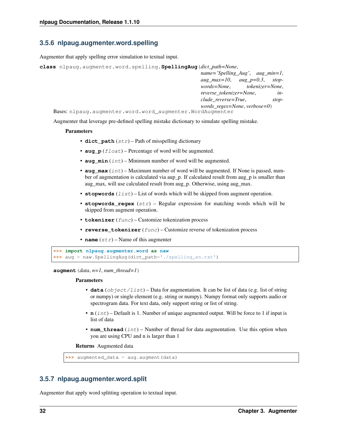## <span id="page-35-2"></span><span id="page-35-0"></span>**3.5.6 nlpaug.augmenter.word.spelling**

Augmenter that apply spelling error simulation to textual input.

```
class nlpaug.augmenter.word.spelling.SpellingAug(dict_path=None,
                                                       name='Spelling_Aug', aug_min=1,
                                                       aug_max=10, aug_p=0.3, stop-
```
*words=None*, *tokenizer=None*, *reverse\_tokenizer=None*, *include\_reverse=True*, *stopwords\_regex=None*, *verbose=0*)

Bases: nlpaug.augmenter.word.word\_augmenter.WordAugmenter

Augmenter that leverage pre-defined spelling mistake dictionary to simulate spelling mistake.

### **Parameters**

- **dict\_path** (str) Path of misspelling dictionary
- **aug\_p** (float) Percentage of word will be augmented.
- **aug\_min** (int) Minimum number of word will be augmented.
- **aug\_max** (int) Maximum number of word will be augmented. If None is passed, number of augmentation is calculated via aup\_p. If calculated result from aug\_p is smaller than aug\_max, will use calculated result from aug\_p. Otherwise, using aug\_max.
- **stopwords**  $(llist)$  List of words which will be skipped from augment operation.
- **stopwords** regex  $(s \nvert x)$  Regular expression for matching words which will be skipped from augment operation.
- **tokenizer** (func) Customize tokenization process
- **reverse\_tokenizer** (func) Customize reverse of tokenization process
- **name**  $(str)$  Name of this augmenter

```
>>> import nlpaug.augmenter.word as naw
>>> aug = naw.SpellingAug(dict_path='./spelling_en.txt')
```
**augment**  $(data, n=1, num$  *thread=1*)

#### Parameters

- $\bullet$  **data** (object/list) Data for augmentation. It can be list of data (e.g. list of string or numpy) or single element (e.g. string or numpy). Numpy format only supports audio or spectrogram data. For text data, only support string or list of string.
- **n** (*int*) Default is 1. Number of unique augmented output. Will be force to 1 if input is list of data
- **num\_thread** (int) Number of thread for data augmentation. Use this option when you are using CPU and n is larger than 1

Returns Augmented data

**>>>** augmented\_data = aug.augment(data)

### <span id="page-35-1"></span>**3.5.7 nlpaug.augmenter.word.split**

Augmenter that apply word splitting operation to textual input.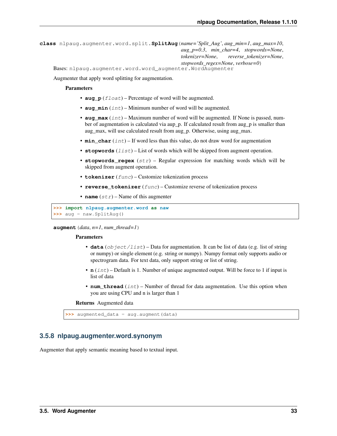```
class nlpaug.augmenter.word.split.SplitAug(name='Split_Aug', aug_min=1, aug_max=10,
                                                  aug_p=0.3, min_char=4, stopwords=None,
                                                  tokenizer=None, reverse_tokenizer=None,
                                                  stopwords_regex=None, verbose=0)
    Bases: nlpaug.augmenter.word.word_augmenter.WordAugmenter
```
Augmenter that apply word splitting for augmentation.

### Parameters

- **aug\_p** (*float*) Percentage of word will be augmented.
- **aug**  $min(int) Minimum number of word will be augmented.$
- **aug** max  $(int)$  Maximum number of word will be augmented. If None is passed, number of augmentation is calculated via aup\_p. If calculated result from aug\_p is smaller than aug\_max, will use calculated result from aug\_p. Otherwise, using aug\_max.
- **min** char  $(int)$  If word less than this value, do not draw word for augmentation
- **stopwords** (*list*) List of words which will be skipped from augment operation.
- **stopwords\_regex** (str) Regular expression for matching words which will be skipped from augment operation.
- **tokenizer** (func) Customize tokenization process
- **reverse\_tokenizer** (func) Customize reverse of tokenization process
- **name**  $(str)$  Name of this augmenter

**>>> import nlpaug.augmenter.word as naw >>>** aug = naw.SplitAug()

**augment**(*data*, *n=1*, *num\_thread=1*)

### Parameters

- **data** (object/list) Data for augmentation. It can be list of data (e.g. list of string or numpy) or single element (e.g. string or numpy). Numpy format only supports audio or spectrogram data. For text data, only support string or list of string.
- **n** (int) Default is 1. Number of unique augmented output. Will be force to 1 if input is list of data
- **num** thread  $(int)$  Number of thread for data augmentation. Use this option when you are using CPU and n is larger than 1

Returns Augmented data

**>>>** augmented\_data = aug.augment(data)

## <span id="page-36-0"></span>**3.5.8 nlpaug.augmenter.word.synonym**

Augmenter that apply semantic meaning based to textual input.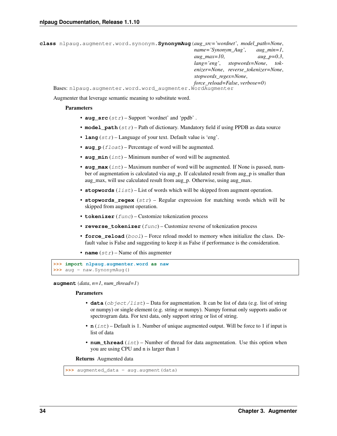```
class nlpaug.augmenter.word.synonym.SynonymAug(aug_src='wordnet', model_path=None,
                                                     name='Synonym_Aug', aug_min=1,
                                                     aug_max=10, aug_p=0.3,
                                                     lang='eng', stopwords=None, tok-
                                                     enizer=None, reverse_tokenizer=None,
                                                     stopwords_regex=None,
                                                     force_reload=False, verbose=0)
    Bases: nlpaug.augmenter.word.word_augmenter.WordAugmenter
```
Augmenter that leverage semantic meaning to substitute word.

### **Parameters**

- **aug\_src** (str) Support 'wordnet' and 'ppdb' .
- **model\_path** (str) Path of dictionary. Mandatory field if using PPDB as data source
- **lang** (str) Language of your text. Default value is 'eng'.
- **aug\_p** (*float*) Percentage of word will be augmented.
- **aug\_min** (int) Minimum number of word will be augmented.
- **aug** max  $(int)$  Maximum number of word will be augmented. If None is passed, number of augmentation is calculated via aup\_p. If calculated result from aug\_p is smaller than aug\_max, will use calculated result from aug\_p. Otherwise, using aug\_max.
- **stopwords**  $(llist)$  List of words which will be skipped from augment operation.
- **stopwords\_regex** (str) Regular expression for matching words which will be skipped from augment operation.
- **tokenizer** (func) Customize tokenization process
- **reverse\_tokenizer** (func) Customize reverse of tokenization process
- **force\_reload** (bool) Force reload model to memory when initialize the class. Default value is False and suggesting to keep it as False if performance is the consideration.
- **name**  $(str)$  Name of this augmenter

```
>>> import nlpaug.augmenter.word as naw
>>> aug = naw.SynonymAug()
```
**augment**  $(data, n=1, num<sub>thread=1</sub>)$ 

### Parameters

- **data** (object/list) Data for augmentation. It can be list of data (e.g. list of string or numpy) or single element (e.g. string or numpy). Numpy format only supports audio or spectrogram data. For text data, only support string or list of string.
- **n** (int) Default is 1. Number of unique augmented output. Will be force to 1 if input is list of data
- **num\_thread** (int) Number of thread for data augmentation. Use this option when you are using CPU and n is larger than 1

```
>>> augmented_data = aug.augment(data)
```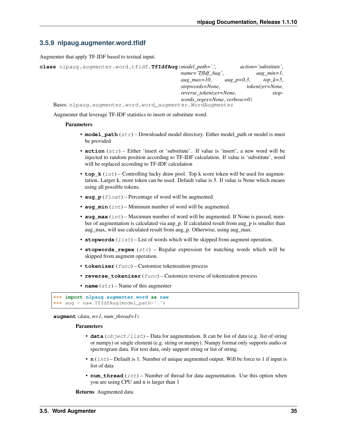## <span id="page-38-1"></span><span id="page-38-0"></span>**3.5.9 nlpaug.augmenter.word.tfidf**

Augmenter that apply TF-IDF based to textual input.

| class nlpaug.augmenter.word.tfidf.TfIdfAug (model_path="., |               | $action='substitute'.$ |
|------------------------------------------------------------|---------------|------------------------|
| $name='Tffdf_Aug',$                                        |               | $aug\_min=1$ ,         |
| $aug\_max=10$ ,                                            | aug $p=0.3$ , | top $k=5$ ,            |
| stopwords=None,                                            |               | tokenizer=None,        |
| reverse tokenizer=None,                                    |               | stop-                  |
| $words\_regex=None, verbose=0)$                            |               |                        |
| Bases: nlpaug.augmenter.word.word augmenter.WordAugmenter  |               |                        |

Augmenter that leverage TF-IDF statistics to insert or substitute word.

### Parameters

- **model\_path** (str) Downloaded model directory. Either model\_path or model is must be provided
- **action** (str) Either 'insert or 'substitute'. If value is 'insert', a new word will be injected to random position according to TF-IDF calculation. If value is 'substitute', word will be replaced according to TF-IDF calculation
- **top**  $k$  (int) Controlling lucky draw pool. Top k score token will be used for augmentation. Larger k, more token can be used. Default value is 5. If value is None which means using all possible tokens.
- **aug\_p** (float) Percentage of word will be augmented.
- **aug**  $min(int) Minimum number of word will be augmented.$
- **aug** max  $(int)$  Maximum number of word will be augmented. If None is passed, number of augmentation is calculated via aup\_p. If calculated result from aug\_p is smaller than aug\_max, will use calculated result from aug\_p. Otherwise, using aug\_max.
- **stopwords**  $(llist)$  List of words which will be skipped from augment operation.
- **stopwords** regex  $(str)$  Regular expression for matching words which will be skipped from augment operation.
- **tokenizer** (func) Customize tokenization process
- **reverse\_tokenizer** (func) Customize reverse of tokenization process
- **name**  $(str)$  Name of this augmenter

```
>>> import nlpaug.augmenter.word as naw
>>> aug = naw.TfIdfAug(model_path='.')
```
 $augment$  (*data*,  $n=1$ ,  $num\_thread=1$ )

### Parameters

- **data** (object/list) Data for augmentation. It can be list of data (e.g. list of string or numpy) or single element (e.g. string or numpy). Numpy format only supports audio or spectrogram data. For text data, only support string or list of string.
- **n** (int) Default is 1. Number of unique augmented output. Will be force to 1 if input is list of data
- **num\_thread** (int) Number of thread for data augmentation. Use this option when you are using CPU and n is larger than 1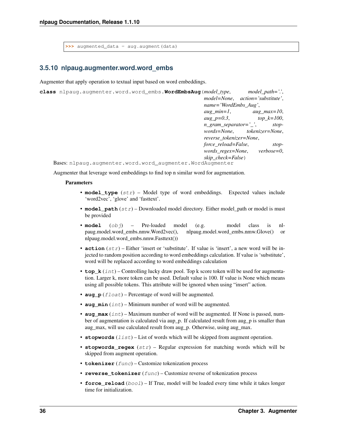<span id="page-39-1"></span>**>>>** augmented\_data = aug.augment(data)

### <span id="page-39-0"></span>**3.5.10 nlpaug.augmenter.word.word\_embs**

Augmenter that apply operation to textual input based on word embeddings.

```
class nlpaug.augmenter.word.word_embs.WordEmbsAug(model_type, model_path='.',
                                                        model=None, action='substitute',
                                                        name='WordEmbs_Aug',
                                                        aug_min=1, aug_max=10,
                                                        aug_p=0.3, top_k=100,
                                                        n_gram_separator='_', stop-
                                                        words=None, tokenizer=None,
                                                        reverse_tokenizer=None,
                                                        force_reload=False, stop-
                                                        words_regex=None, verbose=0,
                                                        skip_check=False)
```
Bases: nlpaug.augmenter.word.word\_augmenter.WordAugmenter

Augmenter that leverage word embeddings to find top n similar word for augmentation.

#### **Parameters**

- **model\_type** (str) Model type of word embeddings. Expected values include 'word2vec', 'glove' and 'fasttext'.
- **model\_path** (str) Downloaded model directory. Either model\_path or model is must be provided
- **model** (obj) Pre-loaded model (e.g. model class is nlpaug.model.word\_embs.nmw.Word2vec(), nlpaug.model.word\_embs.nmw.Glove() or nlpaug.model.word\_embs.nmw.Fasttext())
- **action**  $(str)$  Either 'insert or 'substitute'. If value is 'insert', a new word will be injected to random position according to word embeddings calculation. If value is 'substitute', word will be replaced according to word embeddings calculation
- **top\_k** (int) Controlling lucky draw pool. Top k score token will be used for augmentation. Larger k, more token can be used. Default value is 100. If value is None which means using all possible tokens. This attribute will be ignored when using "insert" action.
- **aug\_p** (*float*) Percentage of word will be augmented.
- $\text{aug-min}(int) \text{Minimum number of word will be augmented.}$
- **aug\_max** (int) Maximum number of word will be augmented. If None is passed, number of augmentation is calculated via aup\_p. If calculated result from aug\_p is smaller than aug\_max, will use calculated result from aug\_p. Otherwise, using aug\_max.
- **stopwords**  $(llist)$  List of words which will be skipped from augment operation.
- **stopwords\_regex** (str) Regular expression for matching words which will be skipped from augment operation.
- **tokenizer** (func) Customize tokenization process
- **reverse\_tokenizer** (func) Customize reverse of tokenization process
- **force\_reload** (bool) If True, model will be loaded every time while it takes longer time for initialization.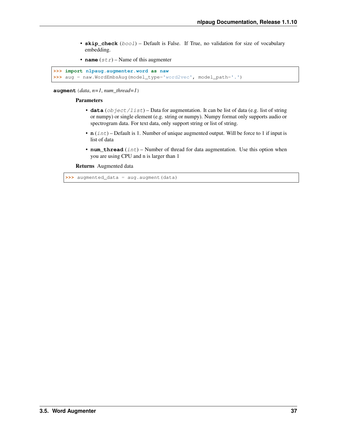- <span id="page-40-0"></span>• **skip\_check** (bool) – Default is False. If True, no validation for size of vocabulary embedding.
- **name**  $(str)$  Name of this augmenter

```
>>> import nlpaug.augmenter.word as naw
>>> aug = naw.WordEmbsAug(model_type='word2vec', model_path='.')
```
**augment**(*data*, *n=1*, *num\_thread=1*)

### Parameters

- **data** (object/list) Data for augmentation. It can be list of data (e.g. list of string or numpy) or single element (e.g. string or numpy). Numpy format only supports audio or spectrogram data. For text data, only support string or list of string.
- **n** (int) Default is 1. Number of unique augmented output. Will be force to 1 if input is list of data
- **num\_thread** (int) Number of thread for data augmentation. Use this option when you are using CPU and n is larger than 1

Returns Augmented data

**>>>** augmented\_data = aug.augment(data)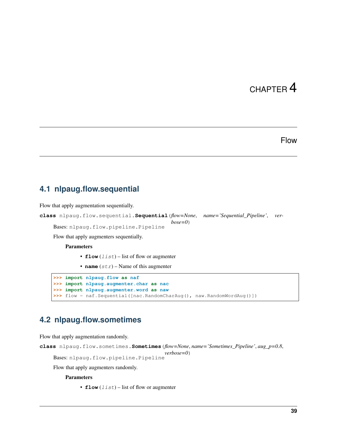# Flow

# <span id="page-42-3"></span><span id="page-42-1"></span><span id="page-42-0"></span>**4.1 nlpaug.flow.sequential**

```
Flow that apply augmentation sequentially.
class nlpaug.flow.sequential.Sequential(flow=None, name='Sequential_Pipeline', ver-
                                                 bose=0)
     Bases: nlpaug.flow.pipeline.Pipeline
     Flow that apply augmenters sequentially.
         Parameters
               • flow (list) – list of flow or augmenter
               • name (str) – Name of this augmenter
    >>> import nlpaug.flow as naf
    >>> import nlpaug.augmenter.char as nac
```
**>>>** flow = naf.Sequential([nac.RandomCharAug(), naw.RandomWordAug()])

# <span id="page-42-2"></span>**4.2 nlpaug.flow.sometimes**

**>>> import nlpaug.augmenter.word as naw**

Flow that apply augmentation randomly.

```
class nlpaug.flow.sometimes.Sometimes(flow=None, name='Sometimes_Pipeline', aug_p=0.8,
                                           verbose=0)
    Bases: nlpaug.flow.pipeline.Pipeline
```
Flow that apply augmenters randomly.

### Parameters

• **flow**  $(llist)$  – list of flow or augmenter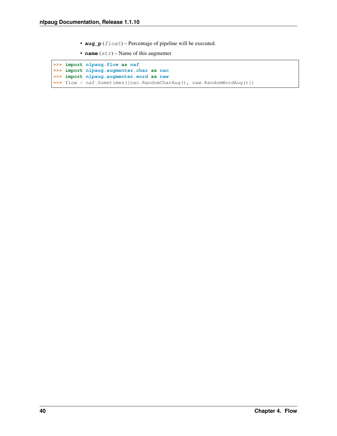- **aug\_p** ( $fload$ ) Percentage of pipeline will be executed.
- **name**  $(str)$  Name of this augmenter

```
>>> import nlpaug.flow as naf
>>> import nlpaug.augmenter.char as nac
>>> import nlpaug.augmenter.word as naw
>>> flow = naf.Sometimes([nac.RandomCharAug(), naw.RandomWordAug()])
```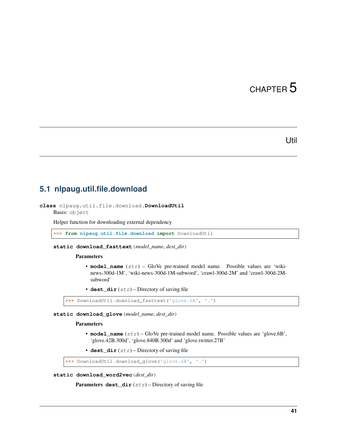## Util

# <span id="page-44-2"></span><span id="page-44-1"></span><span id="page-44-0"></span>**5.1 nlpaug.util.file.download**

```
class nlpaug.util.file.download.DownloadUtil
    Bases: object
```
Helper function for downloading external dependency

**>>> from nlpaug.util.file.download import** DownloadUtil

**static download\_fasttext**(*model\_name*, *dest\_dir*)

### Parameters

- **model\_name**  $(str)$  GloVe pre-trained model name. Possible values are 'wikinews-300d-1M', 'wiki-news-300d-1M-subword', 'crawl-300d-2M' and 'crawl-300d-2Msubword'
- **dest\_dir** (str) Directory of saving file

```
>>> DownloadUtil.download_fasttext('glove.6B', '.')
```
**static download\_glove**(*model\_name*, *dest\_dir*)

### Parameters

• **model\_name** (str) – GloVe pre-trained model name. Possible values are 'glove.6B', 'glove.42B.300d', 'glove.840B.300d' and 'glove.twitter.27B'

• **dest\_dir**  $(str)$  – Directory of saving file

**>>>** DownloadUtil.download\_glove('glove.6B', '.')

**static download\_word2vec**(*dest\_dir*)

Parameters dest\_dir  $(str)$  – Directory of saving file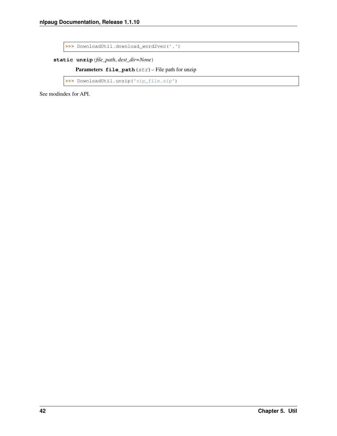<span id="page-45-0"></span>**>>>** DownloadUtil.download\_word2vec('.')

**static unzip**(*file\_path*, *dest\_dir=None*)

Parameters file\_path (str) - File path for unzip

```
>>> DownloadUtil.unzip('zip_file.zip')
```
See modindex for API.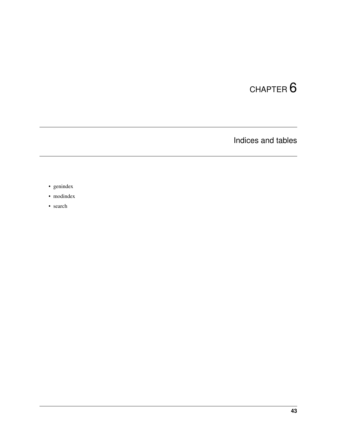Indices and tables

- <span id="page-46-0"></span>• genindex
- modindex
- search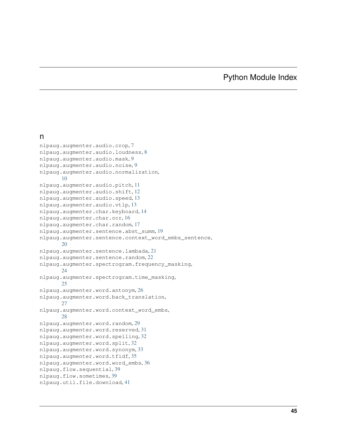# Python Module Index

### <span id="page-48-0"></span>n

```
nlpaug.augmenter.audio.crop, 7
nlpaug.augmenter.audio.loudness, 8
nlpaug.augmenter.audio.mask, 9
nlpaug.augmenter.audio.noise, 9
nlpaug.augmenter.audio.normalization,
      10
nlpaug.augmenter.audio.pitch, 11
nlpaug.augmenter.audio.shift, 12
nlpaug.augmenter.audio.speed, 13
nlpaug.augmenter.audio.vtlp, 13
nlpaug.augmenter.char.keyboard, 14
nlpaug.augmenter.char.ocr, 16
nlpaug.augmenter.char.random, 17
nlpaug.augmenter.sentence.abst_summ, 19
nlpaug.augmenter.sentence.context_word_embs_sentence,
      20
nlpaug.augmenter.sentence.lambada, 21
nlpaug.augmenter.sentence.random, 22
nlpaug.augmenter.spectrogram.frequency_masking,
      24
nlpaug.augmenter.spectrogram.time_masking,
      25
nlpaug.augmenter.word.antonym, 26
nlpaug.augmenter.word.back_translation,
      27
nlpaug.augmenter.word.context_word_embs,
      28
nlpaug.augmenter.word.random, 29
31
nlpaug.augmenter.word.spelling, 32
nlpaug.augmenter.word.split, 32
nlpaug.augmenter.word.synonym, 33
nlpaug.augmenter.word.tfidf, 35
nlpaug.augmenter.word.word_embs, 36
nlpaug.flow.sequential, 39
nlpaug.flow.sometimes, 39
nlpaug.util.file.download, 41
```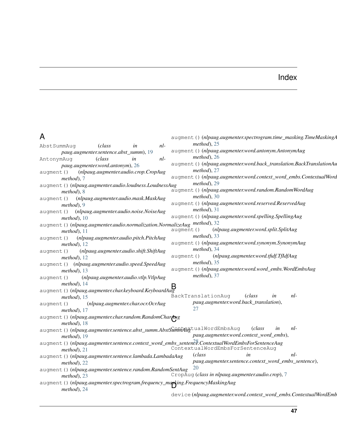# Index

<span id="page-50-0"></span>

| A                                                                                                  | augment () (nlpaug.augmenter.spectrogram.time_masking.TimeMaskingA    |
|----------------------------------------------------------------------------------------------------|-----------------------------------------------------------------------|
| $nl-$<br>AbstSummAuq<br>(class<br>in                                                               | $method$ ), 25                                                        |
| paug.augmenter.sentence.abst_summ), 19                                                             | augment () (nlpaug.augmenter.word.antonym.AntonymAug                  |
| AntonymAuq<br>(class<br>$nl-$<br>in                                                                | $method$ , 26                                                         |
| paug.augmenter.word.antonym), 26                                                                   | augment () (nlpaug.augmenter.word.back_translation.BackTranslationAu  |
| (nlpaug.augmenter.audio.crop.CropAug<br>augment ()                                                 | $method$ , 27                                                         |
| $method$ , 7                                                                                       | augment () (nlpaug.augmenter.word.context_word_embs.ContextualWord    |
| augment () (nlpaug.augmenter.audio.loudness.LoudnessAug                                            | $method$ , 29                                                         |
| $method$ ). $8$                                                                                    | augment () (nlpaug.augmenter.word.random.RandomWordAug                |
| (nlpaug.augmenter.audio.mask.MaskAug<br>augment()                                                  | $method$ , 30                                                         |
| $method$ , 9                                                                                       | augment () (nlpaug.augmenter.word.reserved.ReservedAug                |
| (nlpaug.augmenter.audio.noise.NoiseAug<br>augment ()                                               | $method$ , 31                                                         |
| $method$ , 10                                                                                      | augment () (nlpaug.augmenter.word.spelling.SpellingAug                |
| augment () (nlpaug.augmenter.audio.normalization.NormalizeAug method), 32                          |                                                                       |
| $method$ , 11                                                                                      | (nlpaug.augmenter.word.split.SplitAug<br>augment ()                   |
| (nlpaug.augmenter.audio.pitch.PitchAug<br>augment ()                                               | $method$ , 33                                                         |
| $method$ , 12                                                                                      | augment () (nlpaug.augmenter.word.synonym.SynonymAug<br>$method$ , 34 |
| (nlpaug.augmenter.audio.shift.ShiftAug<br>augment()                                                | (nlpaug.augmenter.word.tfidf.TfIdfAug                                 |
| <i>method</i> ), $12$                                                                              | augment ()<br>$method$ , 35                                           |
| augment () (nlpaug.augmenter.audio.speed.SpeedAug                                                  | augment () (nlpaug.augmenter.word.word_embs.WordEmbsAug               |
| $method$ , 13                                                                                      | $method$ , 37                                                         |
| (nlpaug.augmenter.audio.vtlp.VtlpAug<br>augment()                                                  |                                                                       |
| $method$ ), 14                                                                                     | B                                                                     |
| augment () (nlpaug.augmenter.char.keyboard.KeyboardAug                                             | BackTranslationAug<br>$nl-$<br><i>class</i><br>in                     |
| $method$ , 15<br>(nlpaug.augmenter.char.ocr.OcrAug                                                 | paug.augmenter.word.back_translation),                                |
| augment()<br>$method$ , 17                                                                         | 27                                                                    |
| augment () (nlpaug.augmenter.char.random.RandomCharAug                                             |                                                                       |
| $method$ , 18                                                                                      |                                                                       |
| augment () (nlpaug.augmenter.sentence.abst_summ.AbstSummAngtualWordEmbsAug                         | nl-<br>(class<br>in                                                   |
| $method$ , 19                                                                                      | paug.augmenter.word.context_word_embs),                               |
| augment () (nlpaug.augmenter.sentence.context_word_embs_sentencee.ContextualWordEmbsForSentenceAug |                                                                       |
| $method$ , 21                                                                                      | ContextualWordEmbsForSentenceAug                                      |
| augment () (nlpaug.augmenter.sentence.lambada.LambadaAug                                           | (class)<br>in<br>nl-                                                  |
| $method$ , 22                                                                                      | paug.augmenter.sentence.context_word_embs_sentence),                  |
| augment () (nlpaug.augmenter.sentence.random.RandomSentAug                                         | 20                                                                    |
| $method$ ), 23                                                                                     | CropAug (class in nlpaug.augmenter.audio.crop), 7                     |
| augment () (nlpaug.augmenter.spectrogram.frequency_marking.FrequencyMaskingAug                     |                                                                       |
| method), 24                                                                                        |                                                                       |
|                                                                                                    | device (nlpaug.augmenter.word.context_word_embs.ContextualWordEmb     |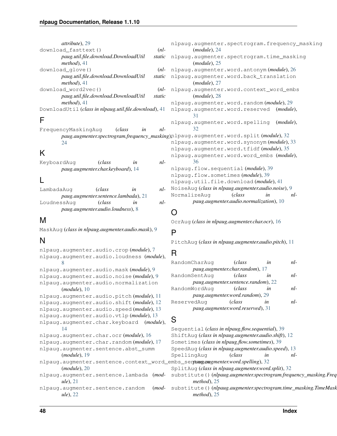| <i>attribute</i> ), 29                                        |            | nlp       |
|---------------------------------------------------------------|------------|-----------|
| download fasttext()                                           | $(nl-$     |           |
| paug.util.file.download.DownloadUtil                          | static     | nlp       |
| $method$ , 41                                                 |            |           |
| download qlove()                                              |            | $(nl-1)p$ |
| paug.util.file.download.DownloadUtil                          | static nlp |           |
| $method$ , 41                                                 |            |           |
| download word2vec()                                           | $(nl-$     | nlp       |
| paug.util.file.download.DownloadUtil                          | static     |           |
| <i>method</i> ), $41$                                         |            | nlp       |
| DownloadUtil <i>(class in nlpaug.util.file.download)</i> , 41 |            | nlp       |
|                                                               |            |           |
|                                                               |            | nlp       |

FrequencyMaskingAug (*class in nlpaug.augmenter.spectrogram.frequency\_masking*), [24](#page-27-2) K KeyboardAug (*class in nl-*

# L

| LambadaAuq                           | (class)                           | ln | nl- |  |  |  |
|--------------------------------------|-----------------------------------|----|-----|--|--|--|
| paug.augmenter.sentence.lambada), 21 |                                   |    |     |  |  |  |
| LoudnessAug                          | (class)                           | ln | nl- |  |  |  |
|                                      | paug.augmenter.audio.loudness), 8 |    |     |  |  |  |

*paug.augmenter.char.keyboard*), [14](#page-17-2)

# M

MaskAug (*class in nlpaug.augmenter.audio.mask*), [9](#page-12-2)

# N

```
nlpaug.augmenter.audio.crop (module), 7
nlpaug.augmenter.audio.loudness (module),
       8
nlpaug.augmenter.audio.mask (module), 9
nlpaug.augmenter.audio.noise (module), 9
nlpaug.augmenter.audio.normalization
       (module), 10
nlpaug.augmenter.audio.pitch (module), 11
nlpaug.augmenter.audio.shift (module), 12
nlpaug.augmenter.audio.speed (module), 13
nlpaug.augmenter.audio.vtlp (module), 13
nlpaug.augmenter.char.keyboard (module),
       14
nlpaug.augmenter.char.ocr (module), 16
nlpaug.augmenter.char.random (module), 17
nlpaug.augmenter.sentence.abst_summ
       (module), 19
nlpaug.augmenter.sentence.context_word_embs_sentence
paug.augmenter.word.spelling), 32
       (module), 20
nlpaug.augmenter.sentence.lambada (mod-
       ule), 21
nlpaug.augmenter.sentence.random (mod-
       ule), 22
```

|                                             | nlpaug.augmenter.spectrogram.frequency_masking      |  |  |  |
|---------------------------------------------|-----------------------------------------------------|--|--|--|
| ļ.                                          | (module), 24                                        |  |  |  |
| $\overline{c}$                              | nlpaug.augmenter.spectrogram.time_masking           |  |  |  |
|                                             | (module), 25                                        |  |  |  |
| ļ-                                          | nlpaug.augmenter.word.antonym (module), 26          |  |  |  |
| $\overline{c}$                              | nlpaug.augmenter.word.back_translation              |  |  |  |
|                                             | (module), 27                                        |  |  |  |
| ļ-                                          | nlpaug.augmenter.word.context_word_embs             |  |  |  |
| $\overline{c}$                              | $(module)$ , 28                                     |  |  |  |
|                                             | nlpaug.augmenter.word.random( <i>module</i> ), 29   |  |  |  |
| 1                                           | nlpaug.augmenter.word.reserved (module),            |  |  |  |
|                                             | 31                                                  |  |  |  |
|                                             | nlpaug.augmenter.word.spelling<br>(module),         |  |  |  |
| ļ.                                          | 32                                                  |  |  |  |
| ing)plpaug.augmenter.word.split(module), 32 |                                                     |  |  |  |
|                                             | nlpaug.augmenter.word.synonym (module), 33          |  |  |  |
|                                             | nlpaug.augmenter.word.tfidf(module), 35             |  |  |  |
|                                             | nlpaug.augmenter.word.word_embs (module),           |  |  |  |
| ļ.                                          | 36                                                  |  |  |  |
|                                             | nlpaug.flow.sequential(module), 39                  |  |  |  |
|                                             | nlpaug.flow.sometimes(module), 39                   |  |  |  |
|                                             | nlpaug.util.file.download(module), 41               |  |  |  |
| ļ-                                          | NoiseAug (class in nlpaug.augmenter.audio.noise), 9 |  |  |  |
|                                             | NormalizeAug<br>(class<br>$nl-$<br>in               |  |  |  |
| ļ.                                          | paug.augmenter.audio.normalization), 10             |  |  |  |
|                                             |                                                     |  |  |  |

# O

OcrAug (*class in nlpaug.augmenter.char.ocr*), [16](#page-19-1)

# P

PitchAug (*class in nlpaug.augmenter.audio.pitch*), [11](#page-14-1)

# R

| RandomCharAuq                       | (class                          | in  | nl- |  |
|-------------------------------------|---------------------------------|-----|-----|--|
|                                     | paug.augmenter.char.random), 17 |     |     |  |
| RandomSentAuq                       | (class                          | in  | nl- |  |
| paug.augmenter.sentence.random), 22 |                                 |     |     |  |
| RandomWordAug                       | (class                          | in  | nl- |  |
| paug.augmenter.word.random), 29     |                                 |     |     |  |
| ReservedAug                         | (class                          | in. | nl- |  |
| paug.augmenter.word.reserved), 31   |                                 |     |     |  |

## S

*method*), [25](#page-28-1)

```
Sequential (class in nlpaug.flow.sequential), 39
ShiftAug (class in nlpaug.augmenter.audio.shift), 12
Sometimes (class in nlpaug.flow.sometimes), 39
SpeedAug (class in nlpaug.augmenter.audio.speed), 13
SpellingAug (class in nl-
SplitAug (class in nlpaug.augmenter.word.split), 32
substitute() (nlpaug.augmenter.spectrogram.frequency_masking.Freq
        method), 25
substitute()(nlpaug.augmenter.spectrogram.time_masking.TimeMask
```